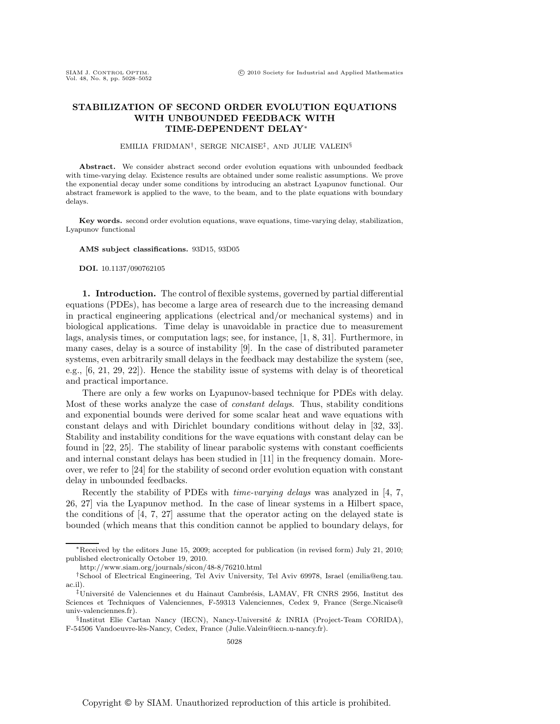## **STABILIZATION OF SECOND ORDER EVOLUTION EQUATIONS WITH UNBOUNDED FEEDBACK WITH TIME-DEPENDENT DELAY**∗

#### EMILIA FRIDMAN†, SERGE NICAISE‡ , AND JULIE VALEIN§

**Abstract.** We consider abstract second order evolution equations with unbounded feedback with time-varying delay. Existence results are obtained under some realistic assumptions. We prove the exponential decay under some conditions by introducing an abstract Lyapunov functional. Our abstract framework is applied to the wave, to the beam, and to the plate equations with boundary delays.

**Key words.** second order evolution equations, wave equations, time-varying delay, stabilization, Lyapunov functional

#### **AMS subject classifications.** 93D15, 93D05

**DOI.** 10.1137/090762105

**1. Introduction.** The control of flexible systems, governed by partial differential equations (PDEs), has become a large area of research due to the increasing demand in practical engineering applications (electrical and/or mechanical systems) and in biological applications. Time delay is unavoidable in practice due to measurement lags, analysis times, or computation lags; see, for instance, [1, 8, 31]. Furthermore, in many cases, delay is a source of instability [9]. In the case of distributed parameter systems, even arbitrarily small delays in the feedback may destabilize the system (see, e.g., [6, 21, 29, 22]). Hence the stability issue of systems with delay is of theoretical and practical importance.

There are only a few works on Lyapunov-based technique for PDEs with delay. Most of these works analyze the case of *constant delays*. Thus, stability conditions and exponential bounds were derived for some scalar heat and wave equations with constant delays and with Dirichlet boundary conditions without delay in [32, 33]. Stability and instability conditions for the wave equations with constant delay can be found in [22, 25]. The stability of linear parabolic systems with constant coefficients and internal constant delays has been studied in [11] in the frequency domain. Moreover, we refer to [24] for the stability of second order evolution equation with constant delay in unbounded feedbacks.

Recently the stability of PDEs with *time-varying delays* was analyzed in [4, 7, 26, 27] via the Lyapunov method. In the case of linear systems in a Hilbert space, the conditions of [4, 7, 27] assume that the operator acting on the delayed state is bounded (which means that this condition cannot be applied to boundary delays, for

<sup>∗</sup>Received by the editors June 15, 2009; accepted for publication (in revised form) July 21, 2010; published electronically October 19, 2010.

http://www.siam.org/journals/sicon/48-8/76210.html

<sup>†</sup>School of Electrical Engineering, Tel Aviv University, Tel Aviv 69978, Israel (emilia@eng.tau. ac.il).

<sup>‡</sup>Universit´e de Valenciennes et du Hainaut Cambr´esis, LAMAV, FR CNRS 2956, Institut des Sciences et Techniques of Valenciennes, F-59313 Valenciennes, Cedex 9, France (Serge.Nicaise@ univ-valenciennes.fr).

 $\S$ Institut Elie Cartan Nancy (IECN), Nancy-Université & INRIA (Project-Team CORIDA), F-54506 Vandoeuvre-lès-Nancy, Cedex, France (Julie.Valein@iecn.u-nancy.fr).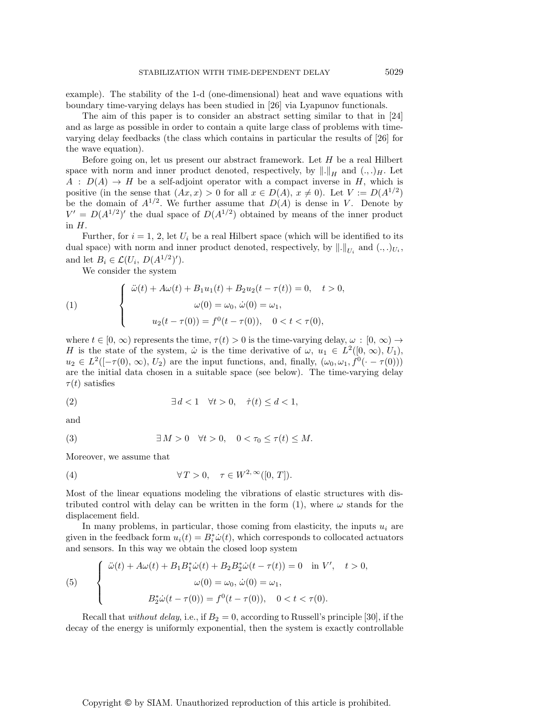example). The stability of the 1-d (one-dimensional) heat and wave equations with boundary time-varying delays has been studied in [26] via Lyapunov functionals.

The aim of this paper is to consider an abstract setting similar to that in [24] and as large as possible in order to contain a quite large class of problems with timevarying delay feedbacks (the class which contains in particular the results of [26] for the wave equation).

Before going on, let us present our abstract framework. Let  $H$  be a real Hilbert space with norm and inner product denoted, respectively, by  $\|.\|_H$  and  $(.,.)_H$ . Let  $A : D(A) \rightarrow H$  be a self-adjoint operator with a compact inverse in H, which is positive (in the sense that  $(Ax, x) > 0$  for all  $x \in D(A)$ ,  $x \neq 0$ ). Let  $V := D(A^{1/2})$ be the domain of  $A^{1/2}$ . We further assume that  $D(A)$  is dense in V. Denote by  $V' = D(A^{1/2})'$  the dual space of  $D(A^{1/2})$  obtained by means of the inner product in H.

Further, for  $i = 1, 2$ , let  $U_i$  be a real Hilbert space (which will be identified to its dual space) with norm and inner product denoted, respectively, by  $\left\|.\right\|_{U_i}$  and  $(.,.)_{U_i}$ , and let  $B_i \in \mathcal{L}(U_i, D(A^{1/2})')$ .

We consider the system

(1) 
$$
\begin{cases} \ddot{\omega}(t) + A\omega(t) + B_1u_1(t) + B_2u_2(t - \tau(t)) = 0, & t > 0, \\ \omega(0) = \omega_0, & \dot{\omega}(0) = \omega_1, \\ u_2(t - \tau(0)) = f^0(t - \tau(0)), & 0 < t < \tau(0), \end{cases}
$$

where  $t \in [0, \infty)$  represents the time,  $\tau(t) > 0$  is the time-varying delay,  $\omega : [0, \infty) \to$ H is the state of the system,  $\dot{\omega}$  is the time derivative of  $\omega, u_1 \in L^2([0, \infty), U_1)$ ,  $u_2 \in L^2([-\tau(0), \infty), U_2)$  are the input functions, and, finally,  $(\omega_0, \omega_1, \hat{f}^0(\cdot - \tau(0)))$ are the initial data chosen in a suitable space (see below). The time-varying delay  $\tau(t)$  satisfies

(2) ∃ d < 1 ∀t > 0, τ˙(t) ≤ d < 1,

and

(3) 
$$
\exists M > 0 \quad \forall t > 0, \quad 0 < \tau_0 \leq \tau(t) \leq M.
$$

Moreover, we assume that

(4) 
$$
\forall T > 0, \quad \tau \in W^{2,\infty}([0,T]).
$$

Most of the linear equations modeling the vibrations of elastic structures with distributed control with delay can be written in the form (1), where  $\omega$  stands for the displacement field.

In many problems, in particular, those coming from elasticity, the inputs  $u_i$  are given in the feedback form  $u_i(t) = B_i^* \dot{\omega}(t)$ , which corresponds to collocated actuators and sensors. In this way we obtain the closed loop system

(5) 
$$
\begin{cases} \n\ddot{\omega}(t) + A\omega(t) + B_1 B_1^* \dot{\omega}(t) + B_2 B_2^* \dot{\omega}(t - \tau(t)) = 0 & \text{in } V', \quad t > 0, \\
\omega(0) = \omega_0, \, \dot{\omega}(0) = \omega_1, \\
B_2^* \dot{\omega}(t - \tau(0)) = f^0(t - \tau(0)), \quad 0 < t < \tau(0). \n\end{cases}
$$

Recall that *without delay*, i.e., if  $B_2 = 0$ , according to Russell's principle [30], if the decay of the energy is uniformly exponential, then the system is exactly controllable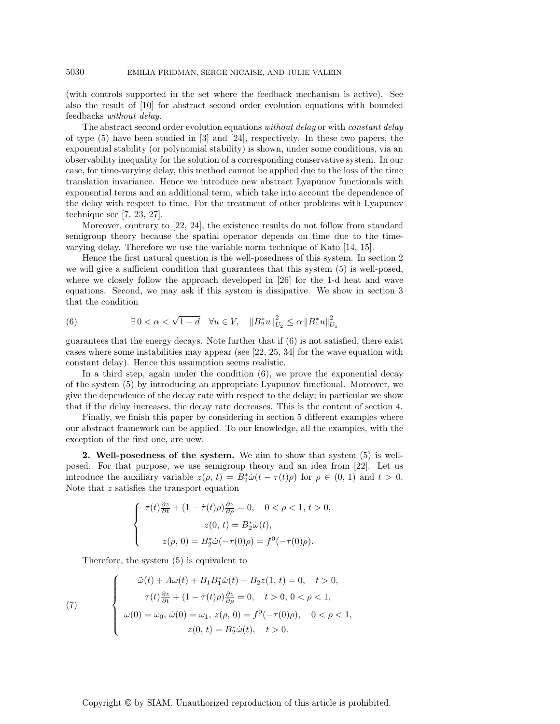(with controls supported in the set where the feedback mechanism is active). See also the result of [10] for abstract second order evolution equations with bounded feedbacks *without delay*.

The abstract second order evolution equations *without delay* or with *constant delay* of type (5) have been studied in [3] and [24], respectively. In these two papers, the exponential stability (or polynomial stability) is shown, under some conditions, via an observability inequality for the solution of a corresponding conservative system. In our case, for time-varying delay, this method cannot be applied due to the loss of the time translation invariance. Hence we introduce new abstract Lyapunov functionals with exponential terms and an additional term, which take into account the dependence of the delay with respect to time. For the treatment of other problems with Lyapunov technique see [7, 23, 27].

Moreover, contrary to [22, 24], the existence results do not follow from standard semigroup theory because the spatial operator depends on time due to the timevarying delay. Therefore we use the variable norm technique of Kato [14, 15].

Hence the first natural question is the well-posedness of this system. In section 2 we will give a sufficient condition that guarantees that this system (5) is well-posed, where we closely follow the approach developed in [26] for the 1-d heat and wave equations. Second, we may ask if this system is dissipative. We show in section 3 that the condition

(6) 
$$
\exists 0 < \alpha < \sqrt{1-d} \quad \forall u \in V, \quad ||B_2^*u||_{U_2}^2 \le \alpha ||B_1^*u||_{U_1}^2
$$

guarantees that the energy decays. Note further that if (6) is not satisfied, there exist cases where some instabilities may appear (see [22, 25, 34] for the wave equation with constant delay). Hence this assumption seems realistic.

In a third step, again under the condition (6), we prove the exponential decay of the system (5) by introducing an appropriate Lyapunov functional. Moreover, we give the dependence of the decay rate with respect to the delay; in particular we show that if the delay increases, the decay rate decreases. This is the content of section 4.

Finally, we finish this paper by considering in section 5 different examples where our abstract framework can be applied. To our knowledge, all the examples, with the exception of the first one, are new.

**2. Well-posedness of the system.** We aim to show that system (5) is wellposed. For that purpose, we use semigroup theory and an idea from [22]. Let us introduce the auxiliary variable  $z(\rho, t) = B_2^* \dot{\omega}(t - \tau(t)\rho)$  for  $\rho \in (0, 1)$  and  $t > 0$ . Note that z satisfies the transport equation

$$
\label{eq:2.1} \left\{ \begin{array}{c} \tau(t)\frac{\partial z}{\partial t}+(1-\dot{\tau}(t)\rho)\frac{\partial z}{\partial \rho}=0,\quad 0<\rho<1,\,t>0,\\[1.5ex] z(0,\,t)=B_2^*\dot{\omega}(t),\\[1.5ex] z(\rho,\,0)=B_2^*\dot{\omega}(-\tau(0)\rho)=f^0(-\tau(0)\rho). \end{array} \right.
$$

Therefore, the system (5) is equivalent to

(7) 
$$
\begin{cases}\n\ddot{\omega}(t) + A\omega(t) + B_1 B_1^* \dot{\omega}(t) + B_2 z(1, t) = 0, & t > 0, \\
\tau(t) \frac{\partial z}{\partial t} + (1 - \dot{\tau}(t)\rho) \frac{\partial z}{\partial \rho} = 0, & t > 0, 0 < \rho < 1, \\
\omega(0) = \omega_0, & \dot{\omega}(0) = \omega_1, z(\rho, 0) = f^0(-\tau(0)\rho), & 0 < \rho < 1, \\
z(0, t) = B_2^* \dot{\omega}(t), & t > 0.\n\end{cases}
$$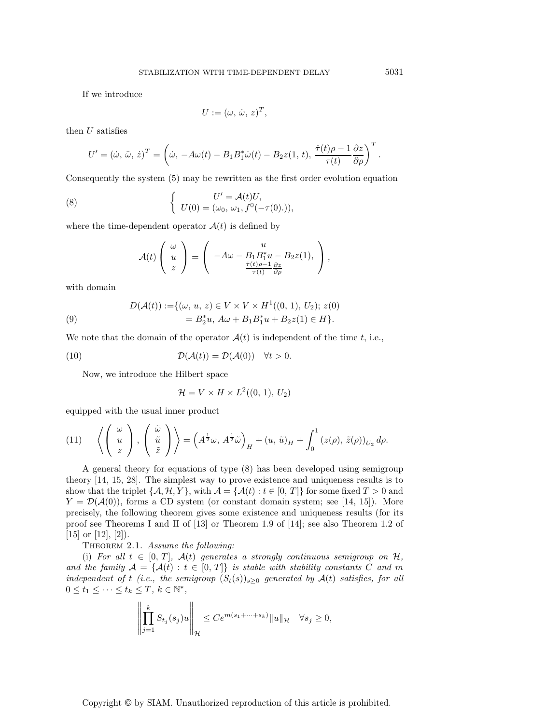If we introduce

$$
U := (\omega, \, \dot{\omega}, \, z)^T,
$$

then  $U$  satisfies

$$
U' = (\dot{\omega}, \ddot{\omega}, \dot{z})^T = \left(\dot{\omega}, -A\omega(t) - B_1 B_1^* \dot{\omega}(t) - B_2 z(1, t), \frac{\dot{\tau}(t)\rho - 1}{\tau(t)} \frac{\partial z}{\partial \rho}\right)^T.
$$

Consequently the system (5) may be rewritten as the first order evolution equation

(8) 
$$
\begin{cases} U' = A(t)U, \\ U(0) = (\omega_0, \, \omega_1, f^0(-\tau(0))). \end{cases}
$$

where the time-dependent operator  $A(t)$  is defined by

$$
\mathcal{A}(t)\left(\begin{array}{c}\omega\\u\\z\end{array}\right)=\left(\begin{array}{c}\nu\\-\mathit{A}\omega-\mathit{B}_{1}\mathit{B}_{1}^{*}u-\mathit{B}_{2}z(1),\\ \frac{\dot{\tau}(t)\rho-1}{\tau(t)}\frac{\partial z}{\partial\rho}\end{array}\right),
$$

with domain

(9) 
$$
D(\mathcal{A}(t)) := \{ (\omega, u, z) \in V \times V \times H^1((0, 1), U_2); z(0) = B_2^* u, A\omega + B_1 B_1^* u + B_2 z(1) \in H \}.
$$

We note that the domain of the operator  $\mathcal{A}(t)$  is independent of the time t, i.e.,

(10) 
$$
\mathcal{D}(\mathcal{A}(t)) = \mathcal{D}(\mathcal{A}(0)) \quad \forall t > 0.
$$

Now, we introduce the Hilbert space

$$
\mathcal{H} = V \times H \times L^2((0, 1), U_2)
$$

equipped with the usual inner product

(11) 
$$
\left\langle \begin{pmatrix} \omega \\ u \\ z \end{pmatrix}, \begin{pmatrix} \tilde{\omega} \\ \tilde{u} \\ \tilde{z} \end{pmatrix} \right\rangle = \left(A^{\frac{1}{2}}\omega, A^{\frac{1}{2}}\tilde{\omega}\right)_H + (u, \tilde{u})_H + \int_0^1 (z(\rho), \tilde{z}(\rho))_{U_2} d\rho.
$$

A general theory for equations of type (8) has been developed using semigroup theory [14, 15, 28]. The simplest way to prove existence and uniqueness results is to show that the triplet  $\{A, H, Y\}$ , with  $A = \{A(t) : t \in [0, T]\}$  for some fixed  $T > 0$  and  $Y = \mathcal{D}(\mathcal{A}(0))$ , forms a CD system (or constant domain system; see [14, 15]). More precisely, the following theorem gives some existence and uniqueness results (for its proof see Theorems I and II of [13] or Theorem 1.9 of [14]; see also Theorem 1.2 of  $[15]$  or  $[12]$ ,  $[2]$ ).

Theorem 2.1. *Assume the following:*

(i) For all  $t \in [0, T]$ ,  $\mathcal{A}(t)$  generates a strongly continuous semigroup on  $\mathcal{H}$ , *and the family*  $A = \{A(t) : t \in [0, T]\}$  *is stable with stability constants* C *and* m *independent of* t (*i.e., the semigroup*  $(S_t(s))_{s\geq 0}$  *generated by*  $A(t)$  *satisfies, for all*  $0 \leq t_1 \leq \cdots \leq t_k \leq T, k \in \mathbb{N}^*,$ 

$$
\left\| \prod_{j=1}^k S_{t_j}(s_j)u \right\|_{\mathcal{H}} \leq Ce^{m(s_1+\cdots+s_k)} \|u\|_{\mathcal{H}} \quad \forall s_j \geq 0,
$$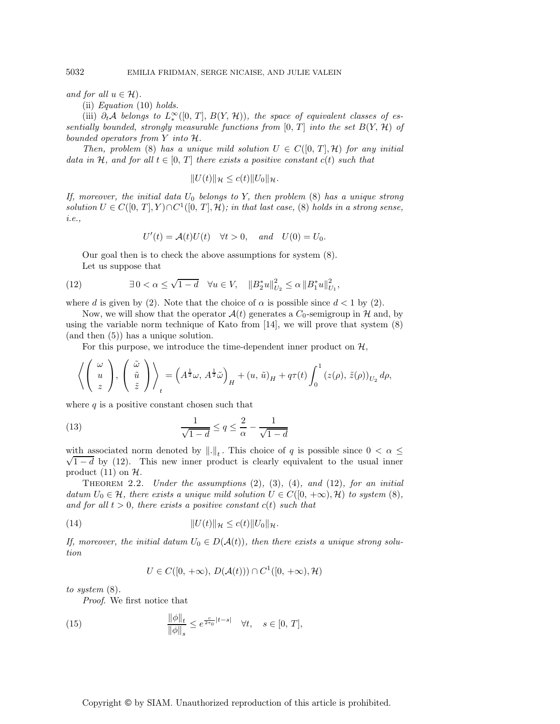*and for all*  $u \in \mathcal{H}$ *)*.

(ii) *Equation* (10) *holds.*

(iii)  $\partial_t A$  *belongs to*  $L_*^{\infty}([0, T], B(Y, \mathcal{H}))$ *, the space of equivalent classes of essentially bounded, strongly measurable functions from*  $[0, T]$  *into the set*  $B(Y, H)$  *of bounded operators from* Y *into* H*.*

*Then, problem* (8) *has a unique mild solution*  $U \in C([0, T], \mathcal{H})$  *for any initial data in* H, and for all  $t \in [0, T]$  *there exists a positive constant*  $c(t)$  *such that* 

$$
||U(t)||_{\mathcal{H}} \leq c(t)||U_0||_{\mathcal{H}}.
$$

*If, moreover, the initial data* U<sup>0</sup> *belongs to* Y*, then problem* (8) *has a unique strong solution*  $U \in C([0, T], Y) \cap C^1([0, T], \mathcal{H})$ ; in that last case, (8) holds in a strong sense, *i.e.,*

$$
U'(t) = \mathcal{A}(t)U(t) \quad \forall t > 0, \quad and \quad U(0) = U_0.
$$

Our goal then is to check the above assumptions for system (8). Let us suppose that

(12) 
$$
\exists 0 < \alpha \leq \sqrt{1-d} \quad \forall u \in V, \quad ||B_2^*u||_{U_2}^2 \leq \alpha ||B_1^*u||_{U_1}^2,
$$

where d is given by (2). Note that the choice of  $\alpha$  is possible since  $d < 1$  by (2).

Now, we will show that the operator  $\mathcal{A}(t)$  generates a  $C_0$ -semigroup in H and, by using the variable norm technique of Kato from [14], we will prove that system (8) (and then (5)) has a unique solution.

For this purpose, we introduce the time-dependent inner product on  $H$ ,

$$
\left\langle \left(\begin{array}{c} \omega \\ u \\ z \end{array}\right), \left(\begin{array}{c} \tilde{\omega} \\ \tilde{u} \\ \tilde{z} \end{array}\right) \right\rangle_t = \left(A^{\frac{1}{2}}\omega, A^{\frac{1}{2}}\tilde{\omega}\right)_H + (u, \tilde{u})_H + q\tau(t) \int_0^1 (z(\rho), \tilde{z}(\rho))_{U_2} d\rho,
$$

where  $q$  is a positive constant chosen such that

(13) 
$$
\frac{1}{\sqrt{1-d}} \le q \le \frac{2}{\alpha} - \frac{1}{\sqrt{1-d}}
$$

with associated norm denoted by  $\|\cdot\|_t$ . This choice of q is possible since  $0 < \alpha \leq$  $\sqrt{1-d}$  by (12). This new inner product is clearly equivalent to the usual inner product  $(11)$  on  $H$ .

Theorem 2.2. *Under the assumptions* (2)*,* (3)*,* (4)*, and* (12)*, for an initial datum*  $U_0 \in \mathcal{H}$ *, there exists a unique mild solution*  $U \in C([0, +\infty), \mathcal{H})$  *to system* (8)*, and for all*  $t > 0$ *, there exists a positive constant*  $c(t)$  *such that* 

(14) 
$$
||U(t)||_{\mathcal{H}} \leq c(t) ||U_0||_{\mathcal{H}}.
$$

*If, moreover, the initial datum*  $U_0 \in D(\mathcal{A}(t))$ , then there exists a unique strong solu*tion*

$$
U \in C([0, +\infty), D(\mathcal{A}(t))) \cap C^1([0, +\infty), \mathcal{H})
$$

*to system* (8)*.*

*Proof*. We first notice that

(15) 
$$
\frac{\|\phi\|_{t}}{\|\phi\|_{s}} \leq e^{\frac{c}{2\tau_{0}}|t-s|} \quad \forall t, \quad s \in [0, T],
$$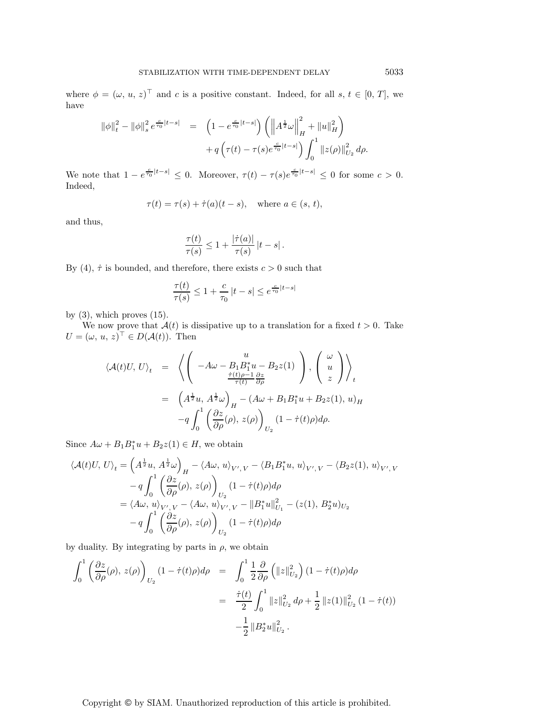where  $\phi = (\omega, u, z)^\top$  and c is a positive constant. Indeed, for all s,  $t \in [0, T]$ , we have

$$
\|\phi\|_{t}^{2} - \|\phi\|_{s}^{2} e^{\frac{c}{\tau_{0}}|t-s|} = \left(1 - e^{\frac{c}{\tau_{0}}|t-s|}\right) \left(\left\|A^{\frac{1}{2}}\omega\right\|_{H}^{2} + \|u\|_{H}^{2}\right) + q\left(\tau(t) - \tau(s)e^{\frac{c}{\tau_{0}}|t-s|}\right) \int_{0}^{1} \|z(\rho)\|_{U_{2}}^{2} d\rho.
$$

We note that  $1 - e^{\frac{c}{\tau_0}|t-s|} \leq 0$ . Moreover,  $\tau(t) - \tau(s)e^{\frac{c}{\tau_0}|t-s|} \leq 0$  for some  $c > 0$ . Indeed,

$$
\tau(t) = \tau(s) + \dot{\tau}(a)(t - s), \quad \text{where } a \in (s, t),
$$

and thus,

$$
\frac{\tau(t)}{\tau(s)} \leq 1 + \frac{|\dot{\tau}(a)|}{\tau(s)} |t-s|.
$$

By (4),  $\dot{\tau}$  is bounded, and therefore, there exists  $c > 0$  such that

$$
\frac{\tau(t)}{\tau(s)} \le 1 + \frac{c}{\tau_0} |t - s| \le e^{\frac{c}{\tau_0}|t - s|}
$$

by  $(3)$ , which proves  $(15)$ .

We now prove that  $\mathcal{A}(t)$  is dissipative up to a translation for a fixed  $t > 0$ . Take  $U = (\omega, u, z)^{\top} \in D(A(t))$ . Then

$$
\langle \mathcal{A}(t)U, U \rangle_t = \left\langle \left( \begin{array}{c} u \\ -A\omega - B_1 B_1^* u - B_2 z(1) \\ \frac{\dot{\tau}(t)\rho - 1}{\tau(t)} \frac{\partial z}{\partial \rho} \end{array} \right), \left( \begin{array}{c} \omega \\ u \\ z \end{array} \right) \right\rangle_t
$$
  

$$
= \left( A^{\frac{1}{2}} u, A^{\frac{1}{2}} \omega \right)_H - (A\omega + B_1 B_1^* u + B_2 z(1), u)_H
$$
  

$$
-q \int_0^1 \left( \frac{\partial z}{\partial \rho}(\rho), z(\rho) \right)_{U_2} (1 - \dot{\tau}(t)\rho) d\rho.
$$

Since  $A\omega + B_1B_1^*u + B_2z(1) \in H$ , we obtain

$$
\langle \mathcal{A}(t)U, U \rangle_t = \left( A^{\frac{1}{2}} u, A^{\frac{1}{2}} \omega \right)_H - \langle A \omega, u \rangle_{V',V} - \langle B_1 B_1^* u, u \rangle_{V',V} - \langle B_2 z(1), u \rangle_{V',V} - q \int_0^1 \left( \frac{\partial z}{\partial \rho}(\rho), z(\rho) \right)_{U_2} (1 - \dot{\tau}(t)\rho) d\rho = \langle A \omega, u \rangle_{V',V} - \langle A \omega, u \rangle_{V',V} - ||B_1^* u||_{U_1}^2 - (z(1), B_2^* u)_{U_2} - q \int_0^1 \left( \frac{\partial z}{\partial \rho}(\rho), z(\rho) \right)_{U_2} (1 - \dot{\tau}(t)\rho) d\rho
$$

by duality. By integrating by parts in  $\rho$ , we obtain

$$
\int_{0}^{1} \left( \frac{\partial z}{\partial \rho}(\rho), z(\rho) \right)_{U_{2}} (1 - \dot{\tau}(t)\rho) d\rho = \int_{0}^{1} \frac{1}{2} \frac{\partial}{\partial \rho} \left( ||z||_{U_{2}}^{2} \right) (1 - \dot{\tau}(t)\rho) d\rho
$$

$$
= \frac{\dot{\tau}(t)}{2} \int_{0}^{1} ||z||_{U_{2}}^{2} d\rho + \frac{1}{2} ||z(1)||_{U_{2}}^{2} (1 - \dot{\tau}(t))
$$

$$
- \frac{1}{2} ||B_{2}^{*}u||_{U_{2}}^{2} .
$$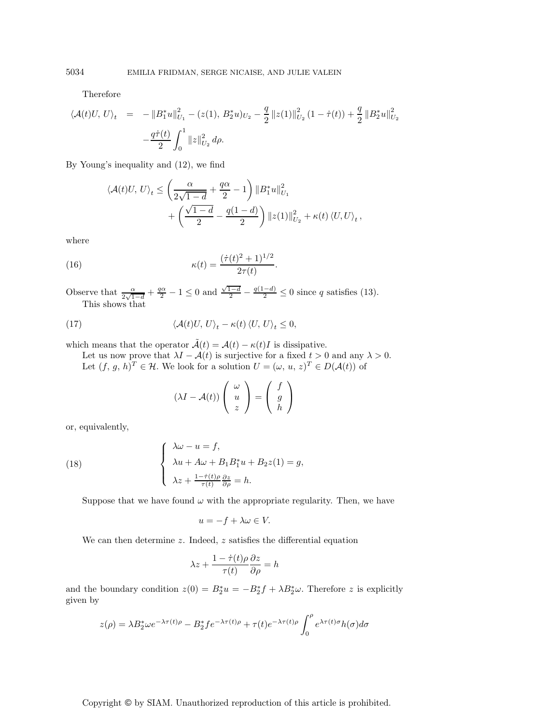Therefore

$$
\langle \mathcal{A}(t)U, U \rangle_t = -\|B_1^* u\|_{U_1}^2 - (z(1), B_2^* u)_{U_2} - \frac{q}{2} \|z(1)\|_{U_2}^2 (1 - \dot{\tau}(t)) + \frac{q}{2} \|B_2^* u\|_{U_2}^2
$$

$$
-\frac{q\dot{\tau}(t)}{2} \int_0^1 \|z\|_{U_2}^2 d\rho.
$$

By Young's inequality and (12), we find

$$
\langle \mathcal{A}(t)U, U \rangle_t \le \left( \frac{\alpha}{2\sqrt{1-d}} + \frac{q\alpha}{2} - 1 \right) \left\| B_1^* u \right\|_{U_1}^2 + \left( \frac{\sqrt{1-d}}{2} - \frac{q(1-d)}{2} \right) \| z(1) \|_{U_2}^2 + \kappa(t) \left\langle U, U \right\rangle_t,
$$

where

(16) 
$$
\kappa(t) = \frac{(\dot{\tau}(t)^2 + 1)^{1/2}}{2\tau(t)}.
$$

Observe that  $\frac{\alpha}{2\sqrt{1-d}} + \frac{q\alpha}{2} - 1 \le 0$  and  $\frac{\sqrt{1-d}}{2} - \frac{q(1-d)}{2} \le 0$  since q satisfies (13). This shows that

(17) 
$$
\langle \mathcal{A}(t)U, U \rangle_t - \kappa(t) \langle U, U \rangle_t \leq 0,
$$

which means that the operator  $\tilde{\mathcal{A}}(t) = \mathcal{A}(t) - \kappa(t)I$  is dissipative.

Let us now prove that  $\lambda I - \mathcal{A}(t)$  is surjective for a fixed  $t > 0$  and any  $\lambda > 0$ . Let  $(f, g, h)^T \in \mathcal{H}$ . We look for a solution  $U = (\omega, u, z)^T \in D(\mathcal{A}(t))$  of

$$
(\lambda I - \mathcal{A}(t)) \left( \begin{array}{c} \omega \\ u \\ z \end{array} \right) = \left( \begin{array}{c} f \\ g \\ h \end{array} \right)
$$

or, equivalently,

(18) 
$$
\begin{cases} \lambda \omega - u = f, \\ \lambda u + A\omega + B_1 B_1^* u + B_2 z(1) = g, \\ \lambda z + \frac{1 - \dot{\tau}(t)\rho}{\tau(t)} \frac{\partial z}{\partial \rho} = h. \end{cases}
$$

Suppose that we have found  $\omega$  with the appropriate regularity. Then, we have

$$
u = -f + \lambda \omega \in V.
$$

We can then determine  $z$ . Indeed,  $z$  satisfies the differential equation

$$
\lambda z + \frac{1 - \dot{\tau}(t)\rho}{\tau(t)} \frac{\partial z}{\partial \rho} = h
$$

and the boundary condition  $z(0) = B_2^* u = -B_2^* f + \lambda B_2^* \omega$ . Therefore z is explicitly given by

$$
z(\rho) = \lambda B_2^* \omega e^{-\lambda \tau(t)\rho} - B_2^* f e^{-\lambda \tau(t)\rho} + \tau(t) e^{-\lambda \tau(t)\rho} \int_0^\rho e^{\lambda \tau(t)\sigma} h(\sigma) d\sigma
$$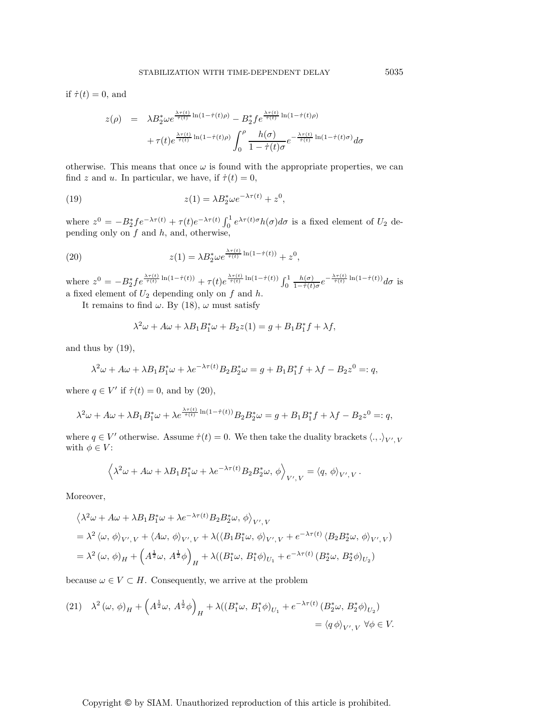if  $\dot{\tau}(t) = 0$ , and

$$
z(\rho) = \lambda B_2^* \omega e^{\frac{\lambda \tau(t)}{\tau(t)} \ln(1 - \dot{\tau}(t)\rho)} - B_2^* f e^{\frac{\lambda \tau(t)}{\dot{\tau}(t)} \ln(1 - \dot{\tau}(t)\rho)}
$$

$$
+ \tau(t) e^{\frac{\lambda \tau(t)}{\dot{\tau}(t)} \ln(1 - \dot{\tau}(t)\rho)} \int_0^\rho \frac{h(\sigma)}{1 - \dot{\tau}(t)\sigma} e^{-\frac{\lambda \tau(t)}{\dot{\tau}(t)} \ln(1 - \dot{\tau}(t)\sigma)} d\sigma
$$

otherwise. This means that once  $\omega$  is found with the appropriate properties, we can find z and u. In particular, we have, if  $\dot{\tau}(t) = 0$ ,

(19) 
$$
z(1) = \lambda B_2^* \omega e^{-\lambda \tau(t)} + z^0,
$$

where  $z^0 = -B_2^* f e^{-\lambda \tau(t)} + \tau(t) e^{-\lambda \tau(t)} \int_0^1 e^{\lambda \tau(t) \sigma} h(\sigma) d\sigma$  is a fixed element of  $U_2$  depending only on  $f$  and  $h$ , and, otherwise,

(20) 
$$
z(1) = \lambda B_2^* \omega e^{\frac{\lambda \tau(t)}{\tau(t)} \ln(1 - \dot{\tau}(t))} + z^0,
$$

where  $z^0 = -B_2^* f e^{\frac{\lambda \tau(t)}{\tau(t)} \ln(1-\dot{\tau}(t))} + \tau(t) e^{\frac{\lambda \tau(t)}{\dot{\tau}(t)} \ln(1-\dot{\tau}(t))} \int_0^1$  $\frac{h(\sigma)}{1-\dot{\tau}(t)\sigma}e^{-\frac{\lambda\tau(t)}{\dot{\tau}(t)}}\ln(1-\dot{\tau}(t))d\sigma$  is a fixed element of  $U_2$  depending only on  $f$  and  $h$ .

It remains to find  $\omega$ . By (18),  $\omega$  must satisfy

$$
\lambda^2 \omega + A\omega + \lambda B_1 B_1^* \omega + B_2 z(1) = g + B_1 B_1^* f + \lambda f,
$$

and thus by  $(19)$ ,

$$
\lambda^{2} \omega + A \omega + \lambda B_{1} B_{1}^{*} \omega + \lambda e^{-\lambda \tau(t)} B_{2} B_{2}^{*} \omega = g + B_{1} B_{1}^{*} f + \lambda f - B_{2} z^{0} =: q,
$$

where  $q \in V'$  if  $\dot{\tau}(t) = 0$ , and by (20),

$$
\lambda^{2} \omega + A \omega + \lambda B_{1} B_{1}^{*} \omega + \lambda e^{\frac{\lambda \tau(t)}{\tau(t)}} \ln(1 - \dot{\tau}(t)) B_{2} B_{2}^{*} \omega = g + B_{1} B_{1}^{*} f + \lambda f - B_{2} z^{0} =: q,
$$

where  $q \in V'$  otherwise. Assume  $\dot{\tau}(t) = 0$ . We then take the duality brackets  $\langle .,.\rangle_{V',V'}$ with  $\phi \in V$ :

$$
\left\langle \lambda^2\omega+A\omega+\lambda B_1B_1^*\omega+\lambda e^{-\lambda\tau(t)}B_2B_2^*\omega,\,\phi\right\rangle_{V',\,V}=\left\langle q,\,\phi\right\rangle_{V',\,V}.
$$

Moreover,

$$
\begin{split} &\left\langle \lambda^2\omega+A\omega+\lambda B_1B_1^*\omega+\lambda e^{-\lambda\tau(t)}B_2B_2^*\omega,\,\phi\right\rangle_{V',\,V}\\ &=\lambda^2\left\langle \omega,\,\phi\right\rangle_{V',\,V}+\left\langle A\omega,\,\phi\right\rangle_{V',\,V}+\lambda(\left\langle B_1B_1^*\omega,\,\phi\right\rangle_{V',\,V}+e^{-\lambda\tau(t)}\left\langle B_2B_2^*\omega,\,\phi\right\rangle_{V',\,V})\\ &=\lambda^2\left(\omega,\,\phi\right)_H+\left(A^{\frac{1}{2}}\omega,\,A^{\frac{1}{2}}\phi\right)_H+\lambda((B_1^*\omega,\,B_1^*\phi)_{U_1}+e^{-\lambda\tau(t)}\left(B_2^*\omega,\,B_2^*\phi\right)_{U_2}) \end{split}
$$

because  $\omega \in V \subset H$ . Consequently, we arrive at the problem

(21) 
$$
\lambda^2 (\omega, \phi)_H + \left( A^{\frac{1}{2}} \omega, A^{\frac{1}{2}} \phi \right)_H + \lambda \left( (B_1^* \omega, B_1^* \phi)_{U_1} + e^{-\lambda \tau(t)} \left( B_2^* \omega, B_2^* \phi \right)_{U_2} \right) \\ = \langle q \phi \rangle_{V', V} \ \forall \phi \in V.
$$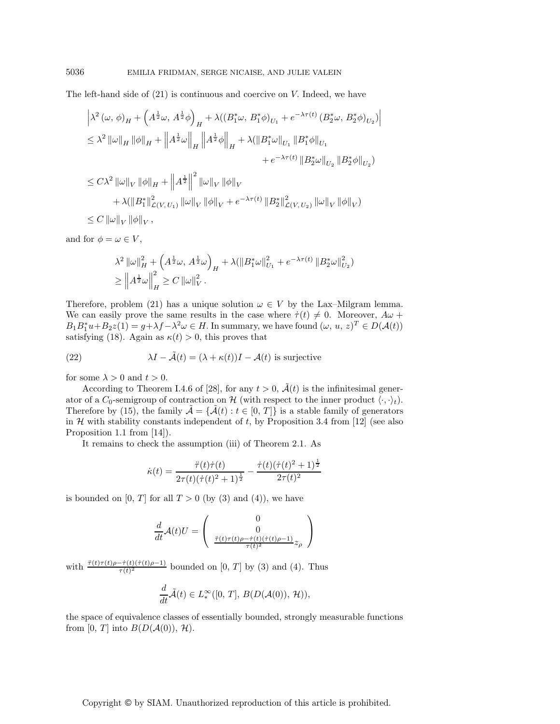The left-hand side of (21) is continuous and coercive on V. Indeed, we have

$$
\begin{split} &\left|\lambda^{2}\left(\omega,\,\phi\right)_{H}+\left(A^{\frac{1}{2}}\omega,\,A^{\frac{1}{2}}\phi\right)_{H}+\lambda((B_{1}^{*}\omega,\,B_{1}^{*}\phi)_{U_{1}}+e^{-\lambda\tau(t)}\left(B_{2}^{*}\omega,\,B_{2}^{*}\phi\right)_{U_{2}})\right|\\ &\leq\lambda^{2}\left\|\omega\right\|_{H}\left\|\phi\right\|_{H}+\left\|A^{\frac{1}{2}}\omega\right\|_{H}\left\|A^{\frac{1}{2}}\phi\right\|_{H}+\lambda(\left\|B_{1}^{*}\omega\right\|_{U_{1}}\left\|B_{1}^{*}\phi\right\|_{U_{1}}\\ &\quad+e^{-\lambda\tau(t)}\left\|B_{2}^{*}\omega\right\|_{U_{2}}\left\|B_{2}^{*}\phi\right\|_{U_{2}})\\ &\leq C\lambda^{2}\left\|\omega\right\|_{V}\left\|\phi\right\|_{H}+\left\|A^{\frac{1}{2}}\right\|^{2}\left\|\omega\right\|_{V}\left\|\phi\right\|_{V}\\ &\quad+\lambda(\left\|B_{1}^{*}\right\|_{\mathcal{L}\left(V,U_{1}\right)}^{2}\left\|\omega\right\|_{V}\left\|\phi\right\|_{V}+e^{-\lambda\tau(t)}\left\|B_{2}^{*}\right\|_{\mathcal{L}\left(V,U_{2}\right)}^{2}\left\|\omega\right\|_{V}\left\|\phi\right\|_{V}\right) \end{split}
$$

 $\leq C \left\|\omega\right\|_V \left\|\phi\right\|_V,$ 

and for  $\phi = \omega \in V$ ,

$$
\lambda^{2} \|\omega\|_{H}^{2} + \left(A^{\frac{1}{2}}\omega, A^{\frac{1}{2}}\omega\right)_{H} + \lambda (\|B_{1}^{*}\omega\|_{U_{1}}^{2} + e^{-\lambda \tau(t)} \|B_{2}^{*}\omega\|_{U_{2}}^{2})
$$
  
\n
$$
\geq \left\|A^{\frac{1}{2}}\omega\right\|_{H}^{2} \geq C \|\omega\|_{V}^{2}.
$$

Therefore, problem (21) has a unique solution  $\omega \in V$  by the Lax–Milgram lemma. We can easily prove the same results in the case where  $\dot{\tau}(t) \neq 0$ . Moreover,  $A\omega$  +  $B_1B_1^*u + B_2z(1) = g + \lambda f - \lambda^2 \omega \in H$ . In summary, we have found  $(\omega, u, z)^T \in D(A(t))$ satisfying (18). Again as  $\kappa(t) > 0$ , this proves that

(22) 
$$
\lambda I - \tilde{\mathcal{A}}(t) = (\lambda + \kappa(t))I - \mathcal{A}(t)
$$
 is surjective

for some  $\lambda > 0$  and  $t > 0$ .

According to Theorem I.4.6 of [28], for any  $t > 0$ ,  $\tilde{A}(t)$  is the infinitesimal generator of a  $C_0$ -semigroup of contraction on H (with respect to the inner product  $\langle \cdot, \cdot \rangle_t$ ). Therefore by (15), the family  $\mathcal{A} = {\mathcal{A}(t) : t \in [0, T]}$  is a stable family of generators in  $H$  with stability constants independent of t, by Proposition 3.4 from [12] (see also Proposition 1.1 from [14]).

It remains to check the assumption (iii) of Theorem 2.1. As

$$
\dot{\kappa}(t) = \frac{\ddot{\tau}(t)\dot{\tau}(t)}{2\tau(t)(\dot{\tau}(t)^2 + 1)^{\frac{1}{2}}} - \frac{\dot{\tau}(t)(\dot{\tau}(t)^2 + 1)^{\frac{1}{2}}}{2\tau(t)^2}
$$

is bounded on [0, T] for all  $T > 0$  (by (3) and (4)), we have

$$
\frac{d}{dt}\mathcal{A}(t)U = \begin{pmatrix} 0 \\ 0 \\ \frac{\ddot{\tau}(t)\tau(t)\rho - \dot{\tau}(t)(\dot{\tau}(t)\rho - 1)}{\tau(t)^2} z_{\rho} \end{pmatrix}
$$

with  $\frac{\ddot{\tau}(t)\tau(t)\rho - \dot{\tau}(t)(\dot{\tau}(t)\rho - 1)}{\tau(t)^2}$  bounded on [0, T] by (3) and (4). Thus

$$
\frac{d}{dt}\tilde{\mathcal{A}}(t) \in L^{\infty}_{*}([0, T], B(D(\mathcal{A}(0)), \mathcal{H})),
$$

the space of equivalence classes of essentially bounded, strongly measurable functions from [0, T] into  $B(D(\mathcal{A}(0)), \mathcal{H})$ .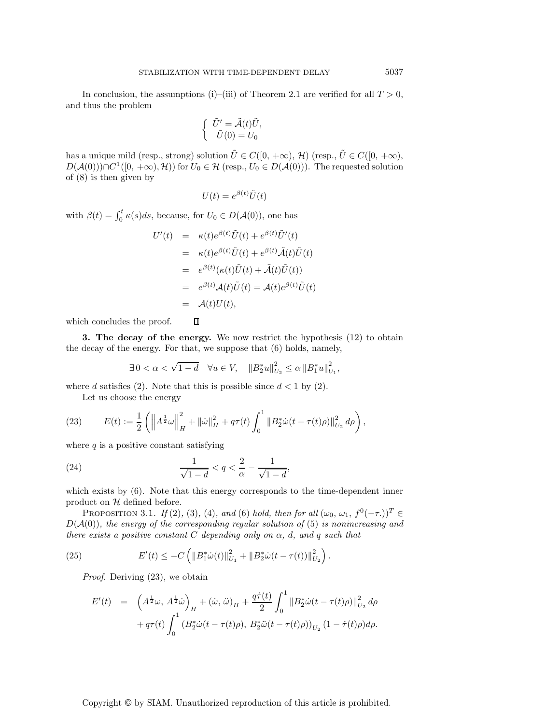In conclusion, the assumptions (i)–(iii) of Theorem 2.1 are verified for all  $T > 0$ , and thus the problem

$$
\begin{cases}\n\tilde{U}' = \tilde{\mathcal{A}}(t)\tilde{U}, \\
\tilde{U}(0) = U_0\n\end{cases}
$$

has a unique mild (resp., strong) solution  $\tilde{U} \in C([0, +\infty), \mathcal{H})$  (resp.,  $\tilde{U} \in C([0, +\infty),$  $D(\mathcal{A}(0))) \cap C^1([0, +\infty), \mathcal{H})$  for  $U_0 \in \mathcal{H}$  (resp.,  $U_0 \in D(\mathcal{A}(0))$ ). The requested solution of (8) is then given by

$$
U(t) = e^{\beta(t)} \tilde{U}(t)
$$

with  $\beta(t) = \int_0^t \kappa(s)ds$ , because, for  $U_0 \in D(\mathcal{A}(0))$ , one has

$$
U'(t) = \kappa(t)e^{\beta(t)}\tilde{U}(t) + e^{\beta(t)}\tilde{U}'(t)
$$
  
\n
$$
= \kappa(t)e^{\beta(t)}\tilde{U}(t) + e^{\beta(t)}\tilde{\mathcal{A}}(t)\tilde{U}(t)
$$
  
\n
$$
= e^{\beta(t)}(\kappa(t)\tilde{U}(t) + \tilde{\mathcal{A}}(t)\tilde{U}(t))
$$
  
\n
$$
= e^{\beta(t)}\mathcal{A}(t)\tilde{U}(t) = \mathcal{A}(t)e^{\beta(t)}\tilde{U}(t)
$$
  
\n
$$
= \mathcal{A}(t)U(t),
$$

which concludes the proof.

**3. The decay of the energy.** We now restrict the hypothesis (12) to obtain the decay of the energy. For that, we suppose that (6) holds, namely,

$$
\exists 0 < \alpha < \sqrt{1-d} \quad \forall u \in V, \quad \|B_2^*u\|_{U_2}^2 \le \alpha \|B_1^*u\|_{U_1}^2,
$$

where d satisfies (2). Note that this is possible since  $d < 1$  by (2).

 $\Box$ 

Let us choose the energy

(23) 
$$
E(t) := \frac{1}{2} \left( \left\| A^{\frac{1}{2}} \omega \right\|_{H}^{2} + \|\dot{\omega}\|_{H}^{2} + q\tau(t) \int_{0}^{1} \left\| B_{2}^{*} \dot{\omega}(t - \tau(t)\rho) \right\|_{U_{2}}^{2} d\rho \right),
$$

where  $q$  is a positive constant satisfying

(24) 
$$
\frac{1}{\sqrt{1-d}} < q < \frac{2}{\alpha} - \frac{1}{\sqrt{1-d}},
$$

which exists by (6). Note that this energy corresponds to the time-dependent inner product on  $H$  defined before.

PROPOSITION 3.1. *If* (2)*,* (3)*,* (4)*, and* (6) *hold, then for all*  $(\omega_0, \omega_1, f^0(-\tau_1))^T$ D(A(0))*, the energy of the corresponding regular solution of* (5) *is nonincreasing and there exists a positive constant* C *depending only on* α*,* d*, and* q *such that*

(25) 
$$
E'(t) \leq -C \left( \|B_1^* \dot{\omega}(t)\|_{U_1}^2 + \|B_2^* \dot{\omega}(t - \tau(t))\|_{U_2}^2 \right).
$$

*Proof*. Deriving (23), we obtain

$$
E'(t) = \left(A^{\frac{1}{2}}\omega, A^{\frac{1}{2}}\dot{\omega}\right)_H + (\dot{\omega}, \ddot{\omega})_H + \frac{q\dot{\tau}(t)}{2} \int_0^1 \|B_2^*\dot{\omega}(t - \tau(t)\rho)\|_{U_2}^2 d\rho + q\tau(t) \int_0^1 (B_2^*\dot{\omega}(t - \tau(t)\rho), B_2^*\ddot{\omega}(t - \tau(t)\rho))_{U_2} (1 - \dot{\tau}(t)\rho) d\rho.
$$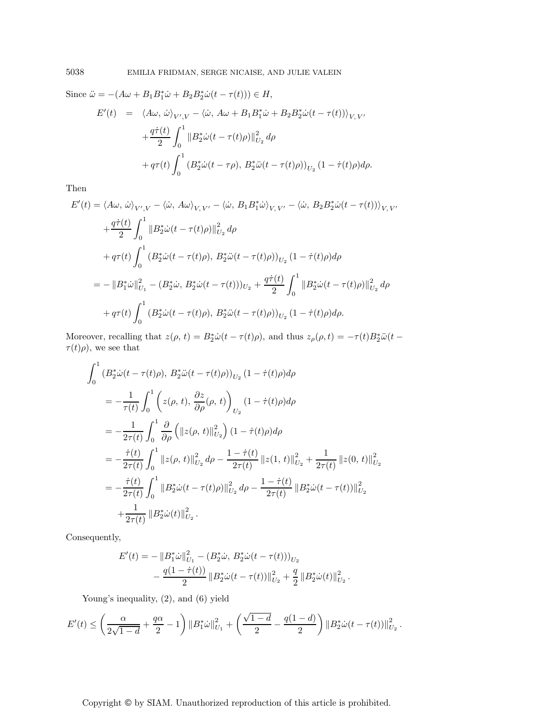Since 
$$
\ddot{\omega} = -(A\omega + B_1 B_1^* \dot{\omega} + B_2 B_2^* \dot{\omega} (t - \tau(t))) \in H
$$
,  
\n
$$
E'(t) = \langle A\omega, \dot{\omega} \rangle_{V',V} - \langle \dot{\omega}, A\omega + B_1 B_1^* \dot{\omega} + B_2 B_2^* \dot{\omega} (t - \tau(t)) \rangle_{V,V'}
$$
\n
$$
+ \frac{q\dot{\tau}(t)}{2} \int_0^1 \|B_2^* \dot{\omega} (t - \tau(t)\rho)\|_{U_2}^2 d\rho
$$
\n
$$
+ q\tau(t) \int_0^1 (B_2^* \dot{\omega} (t - \tau \rho), B_2^* \ddot{\omega} (t - \tau(t)\rho))_{U_2} (1 - \dot{\tau}(t)\rho) d\rho.
$$

Then

$$
E'(t) = \langle A\omega, \dot{\omega} \rangle_{V',V} - \langle \dot{\omega}, A\omega \rangle_{V,V'} - \langle \dot{\omega}, B_1 B_1^* \dot{\omega} \rangle_{V,V'} - \langle \dot{\omega}, B_2 B_2^* \dot{\omega} (t - \tau(t)) \rangle_{V,V'}
$$
  
+ 
$$
\frac{q\dot{\tau}(t)}{2} \int_0^1 \|B_2^* \dot{\omega} (t - \tau(t)\rho)\|_{U_2}^2 d\rho
$$
  
+ 
$$
q\tau(t) \int_0^1 (B_2^* \dot{\omega} (t - \tau(t)\rho), B_2^* \ddot{\omega} (t - \tau(t)\rho))_{U_2} (1 - \dot{\tau}(t)\rho) d\rho
$$
  
= 
$$
- \|B_1^* \dot{\omega}\|_{U_1}^2 - (B_2^* \dot{\omega}, B_2^* \dot{\omega} (t - \tau(t)))_{U_2} + \frac{q\dot{\tau}(t)}{2} \int_0^1 \|B_2^* \dot{\omega} (t - \tau(t)\rho)\|_{U_2}^2 d\rho
$$
  
+ 
$$
q\tau(t) \int_0^1 (B_2^* \dot{\omega} (t - \tau(t)\rho), B_2^* \ddot{\omega} (t - \tau(t)\rho))_{U_2} (1 - \dot{\tau}(t)\rho) d\rho.
$$

Moreover, recalling that  $z(\rho, t) = B_2^* \dot{\omega} (t - \tau(t)\rho)$ , and thus  $z_\rho(\rho, t) = -\tau(t)B_2^* \ddot{\omega} (t \tau(t)\rho$ , we see that

$$
\int_{0}^{1} (B_{2}^{*}\dot{\omega}(t-\tau(t)\rho), B_{2}^{*}\ddot{\omega}(t-\tau(t)\rho))_{U_{2}} (1-\dot{\tau}(t)\rho)d\rho
$$
\n
$$
= -\frac{1}{\tau(t)} \int_{0}^{1} \left( z(\rho, t), \frac{\partial z}{\partial \rho}(\rho, t) \right)_{U_{2}} (1-\dot{\tau}(t)\rho)d\rho
$$
\n
$$
= -\frac{1}{2\tau(t)} \int_{0}^{1} \frac{\partial}{\partial \rho} \left( \|z(\rho, t)\|_{U_{2}}^{2} \right) (1-\dot{\tau}(t)\rho)d\rho
$$
\n
$$
= -\frac{\dot{\tau}(t)}{2\tau(t)} \int_{0}^{1} \|z(\rho, t)\|_{U_{2}}^{2} d\rho - \frac{1-\dot{\tau}(t)}{2\tau(t)} \|z(1, t)\|_{U_{2}}^{2} + \frac{1}{2\tau(t)} \|z(0, t)\|_{U_{2}}^{2}
$$
\n
$$
= -\frac{\dot{\tau}(t)}{2\tau(t)} \int_{0}^{1} \|B_{2}^{*}\dot{\omega}(t-\tau(t)\rho)\|_{U_{2}}^{2} d\rho - \frac{1-\dot{\tau}(t)}{2\tau(t)} \|B_{2}^{*}\dot{\omega}(t-\tau(t))\|_{U_{2}}^{2}
$$
\n
$$
+ \frac{1}{2\tau(t)} \|B_{2}^{*}\dot{\omega}(t)\|_{U_{2}}^{2}.
$$

Consequently,

$$
E'(t) = -\|B_1^*\dot{\omega}\|_{U_1}^2 - (B_2^*\dot{\omega}, B_2^*\dot{\omega}(t - \tau(t)))_{U_2}
$$
  
 
$$
- \frac{q(1 - \dot{\tau}(t))}{2} \|B_2^*\dot{\omega}(t - \tau(t))\|_{U_2}^2 + \frac{q}{2} \|B_2^*\dot{\omega}(t)\|_{U_2}^2.
$$

Young's inequality, (2), and (6) yield

$$
E'(t) \leq \left(\frac{\alpha}{2\sqrt{1-d}} + \frac{q\alpha}{2} - 1\right) \left\|B_1^*\dot{\omega}\right\|_{U_1}^2 + \left(\frac{\sqrt{1-d}}{2} - \frac{q(1-d)}{2}\right) \left\|B_2^*\dot{\omega}(t - \tau(t))\right\|_{U_2}^2.
$$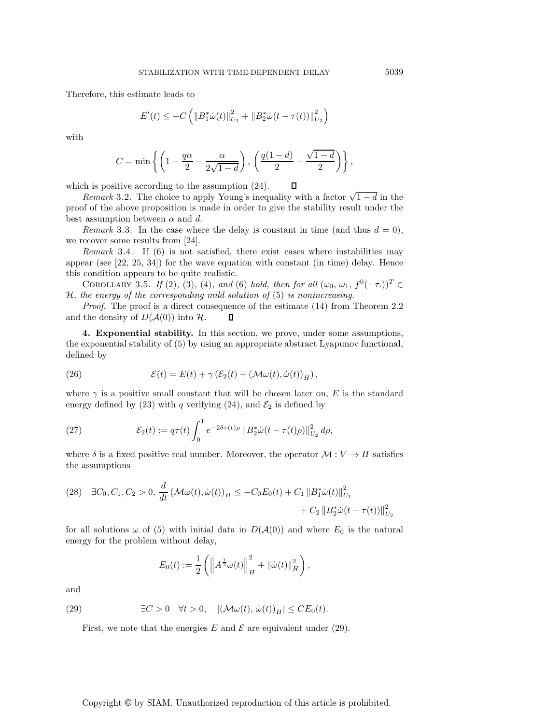Therefore, this estimate leads to

$$
E'(t) \leq -C \left( \left\| B_1^* \dot{\omega}(t) \right\|_{U_1}^2 + \left\| B_2^* \dot{\omega}(t - \tau(t)) \right\|_{U_2}^2 \right)
$$

with

$$
C = \min\left\{ \left( 1 - \frac{q\alpha}{2} - \frac{\alpha}{2\sqrt{1-d}} \right), \left( \frac{q(1-d)}{2} - \frac{\sqrt{1-d}}{2} \right) \right\},\
$$

which is positive according to the assumption (24).

*Remark* 3.2. The choice to apply Young's inequality with a factor  $\sqrt{1-d}$  in the proof of the above proposition is made in order to give the stability result under the best assumption between  $\alpha$  and d.

*Remark* 3.3. In the case where the delay is constant in time (and thus  $d = 0$ ), we recover some results from [24].

*Remark* 3.4. If (6) is not satisfied, there exist cases where instabilities may appear (see [22, 25, 34]) for the wave equation with constant (in time) delay. Hence this condition appears to be quite realistic.

COROLLARY 3.5. *If* (2)*,* (3)*,* (4)*, and* (6) *hold, then for all*  $(\omega_0, \omega_1, f^0(-\tau.))^T \in$ H*, the energy of the corresponding mild solution of* (5) *is nonincreasing.*

*Proof.* The proof is a direct consequence of the estimate (14) from Theorem 2.2 and the density of  $D(\mathcal{A}(0))$  into  $\mathcal{H}$ .  $\Box$ 

**4. Exponential stability.** In this section, we prove, under some assumptions, the exponential stability of (5) by using an appropriate abstract Lyapunov functional, defined by

(26) 
$$
\mathcal{E}(t) = E(t) + \gamma \left( \mathcal{E}_2(t) + \left( \mathcal{M}\omega(t), \dot{\omega}(t) \right)_H \right),
$$

where  $\gamma$  is a positive small constant that will be chosen later on, E is the standard energy defined by (23) with q verifying (24), and  $\mathcal{E}_2$  is defined by

(27) 
$$
\mathcal{E}_2(t) := q\tau(t) \int_0^1 e^{-2\delta\tau(t)\rho} ||B_2^* \dot{\omega}(t - \tau(t)\rho)||_{U_2}^2 d\rho,
$$

where  $\delta$  is a fixed positive real number. Moreover, the operator  $\mathcal{M}: V \to H$  satisfies the assumptions

$$
(28) \quad \exists C_0, C_1, C_2 > 0, \frac{d}{dt} \left( \mathcal{M}\omega(t), \dot{\omega}(t) \right)_H \le -C_0 E_0(t) + C_1 \| B_1^* \dot{\omega}(t) \|_{U_1}^2 + C_2 \| B_2^* \dot{\omega}(t - \tau(t)) \|_{U_2}^2
$$

for all solutions  $\omega$  of (5) with initial data in  $D(A(0))$  and where  $E_0$  is the natural energy for the problem without delay,

$$
E_0(t) := \frac{1}{2} \left( \left\| A^{\frac{1}{2}} \omega(t) \right\|_H^2 + \left\| \dot{\omega}(t) \right\|_H^2 \right),
$$

and

(29) 
$$
\exists C > 0 \quad \forall t > 0, \quad |(\mathcal{M}\omega(t), \dot{\omega}(t))_H| \leq C E_0(t).
$$

First, we note that the energies E and  $\mathcal E$  are equivalent under (29).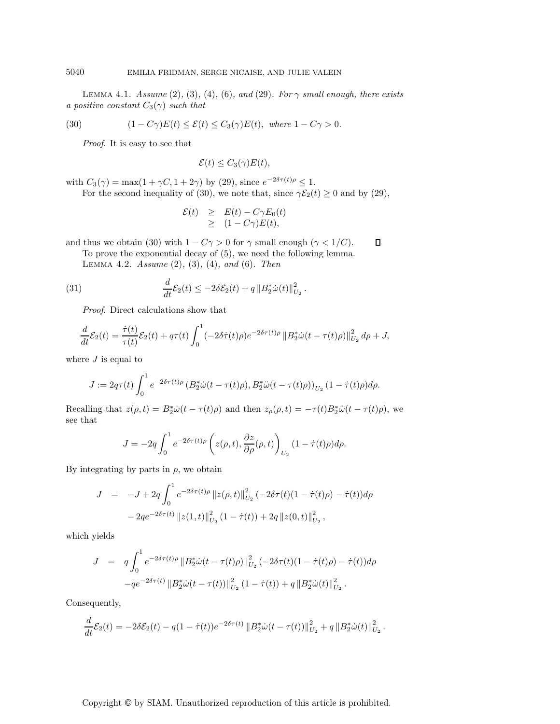LEMMA 4.1. *Assume* (2), (3), (4), (6), and (29). For  $\gamma$  small enough, there exists *a positive constant*  $C_3(\gamma)$  *such that* 

(30) 
$$
(1 - C\gamma)E(t) \le \mathcal{E}(t) \le C_3(\gamma)E(t), \text{ where } 1 - C\gamma > 0.
$$

*Proof*. It is easy to see that

 $\mathcal{E}(t) \leq C_3(\gamma)E(t),$ 

with  $C_3(\gamma) = \max(1 + \gamma C, 1 + 2\gamma)$  by (29), since  $e^{-2\delta \tau(t)\rho} \leq 1$ .

For the second inequality of (30), we note that, since  $\gamma \mathcal{E}_2(t) \ge 0$  and by (29),

$$
\mathcal{E}(t) \geq E(t) - C\gamma E_0(t) \geq (1 - C\gamma)E(t),
$$

 $\Box$ and thus we obtain (30) with  $1 - C\gamma > 0$  for  $\gamma$  small enough ( $\gamma < 1/C$ ).

To prove the exponential decay of (5), we need the following lemma. Lemma 4.2. *Assume* (2)*,* (3)*,* (4)*, and* (6)*. Then*

(31) 
$$
\frac{d}{dt}\mathcal{E}_2(t) \leq -2\delta \mathcal{E}_2(t) + q \|B_2^* \dot{\omega}(t)\|_{U_2}^2.
$$

*Proof*. Direct calculations show that

$$
\frac{d}{dt}\mathcal{E}_2(t) = \frac{\dot{\tau}(t)}{\tau(t)}\mathcal{E}_2(t) + q\tau(t)\int_0^1 (-2\delta\dot{\tau}(t)\rho)e^{-2\delta\tau(t)\rho} ||B_2^*\dot{\omega}(t-\tau(t)\rho)||_{U_2}^2 d\rho + J,
$$

where  $J$  is equal to

$$
J := 2q\tau(t)\int_0^1 e^{-2\delta\tau(t)\rho} \left(B_2^*\dot{\omega}(t-\tau(t)\rho), B_2^*\ddot{\omega}(t-\tau(t)\rho)\right)_{U_2} (1-\dot{\tau}(t)\rho)d\rho.
$$

Recalling that  $z(\rho, t) = B_2^* \dot{\omega} (t - \tau(t)\rho)$  and then  $z_\rho(\rho, t) = -\tau(t)B_2^* \ddot{\omega} (t - \tau(t)\rho)$ , we see that

$$
J = -2q \int_0^1 e^{-2\delta \tau(t)\rho} \left( z(\rho, t), \frac{\partial z}{\partial \rho}(\rho, t) \right)_{U_2} (1 - \dot{\tau}(t)\rho) d\rho.
$$

By integrating by parts in  $\rho$ , we obtain

$$
J = -J + 2q \int_0^1 e^{-2\delta \tau(t)\rho} \|z(\rho, t)\|_{U_2}^2 (-2\delta \tau(t)(1 - \dot{\tau}(t)\rho) - \dot{\tau}(t)) d\rho
$$
  

$$
-2qe^{-2\delta \tau(t)} \|z(1, t)\|_{U_2}^2 (1 - \dot{\tau}(t)) + 2q \|z(0, t)\|_{U_2}^2,
$$

which yields

$$
J = q \int_0^1 e^{-2\delta \tau(t)\rho} \|B_2^* \dot{\omega}(t - \tau(t)\rho)\|_{U_2}^2 (-2\delta \tau(t)(1 - \dot{\tau}(t)\rho) - \dot{\tau}(t)) d\rho
$$
  
-
$$
-qe^{-2\delta \tau(t)} \|B_2^* \dot{\omega}(t - \tau(t))\|_{U_2}^2 (1 - \dot{\tau}(t)) + q \|B_2^* \dot{\omega}(t)\|_{U_2}^2.
$$

Consequently,

$$
\frac{d}{dt}\mathcal{E}_2(t) = -2\delta\mathcal{E}_2(t) - q(1 - \dot{\tau}(t))e^{-2\delta\tau(t)} \|B_2^*\dot{\omega}(t - \tau(t))\|_{U_2}^2 + q\|B_2^*\dot{\omega}(t)\|_{U_2}^2.
$$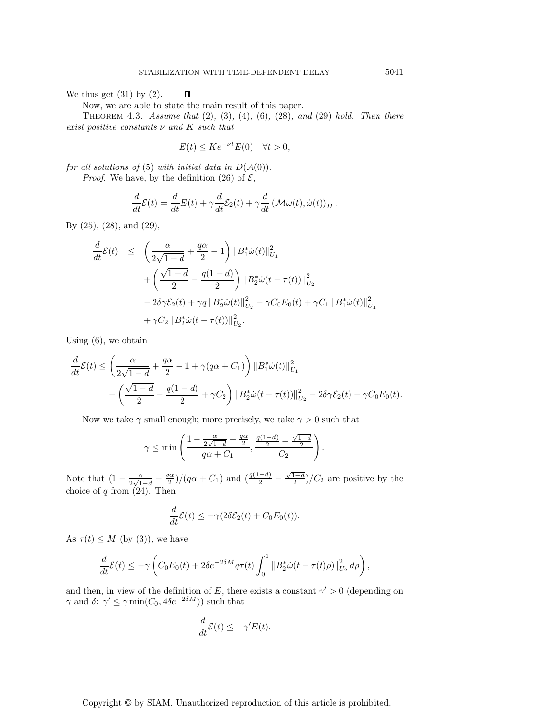We thus get  $(31)$  by  $(2)$ .  $\Box$ 

Now, we are able to state the main result of this paper.

Theorem 4.3. *Assume that* (2)*,* (3)*,* (4)*,* (6)*,* (28)*, and* (29) *hold. Then there exist positive constants* ν *and* K *such that*

$$
E(t) \le K e^{-\nu t} E(0) \quad \forall t > 0,
$$

*for all solutions of* (5) *with initial data in*  $D(A(0))$ *.* 

*Proof.* We have, by the definition (26) of  $\mathcal{E}$ ,

$$
\frac{d}{dt}\mathcal{E}(t) = \frac{d}{dt}E(t) + \gamma \frac{d}{dt}\mathcal{E}_2(t) + \gamma \frac{d}{dt}(\mathcal{M}\omega(t), \dot{\omega}(t))_H.
$$

By (25), (28), and (29),

$$
\frac{d}{dt}\mathcal{E}(t) \leq \left(\frac{\alpha}{2\sqrt{1-d}} + \frac{q\alpha}{2} - 1\right) \|B_1^*\dot{\omega}(t)\|_{U_1}^2 \n+ \left(\frac{\sqrt{1-d}}{2} - \frac{q(1-d)}{2}\right) \|B_2^*\dot{\omega}(t - \tau(t))\|_{U_2}^2 \n- 2\delta\gamma \mathcal{E}_2(t) + \gamma q \|B_2^*\dot{\omega}(t)\|_{U_2}^2 - \gamma C_0 E_0(t) + \gamma C_1 \|B_1^*\dot{\omega}(t)\|_{U_1}^2 \n+ \gamma C_2 \|B_2^*\dot{\omega}(t - \tau(t))\|_{U_2}^2.
$$

Using (6), we obtain

$$
\frac{d}{dt}\mathcal{E}(t) \le \left(\frac{\alpha}{2\sqrt{1-d}} + \frac{q\alpha}{2} - 1 + \gamma(q\alpha + C_1)\right) ||B_1^* \dot{\omega}(t)||_{U_1}^2 + \left(\frac{\sqrt{1-d}}{2} - \frac{q(1-d)}{2} + \gamma C_2\right) ||B_2^* \dot{\omega}(t - \tau(t))||_{U_2}^2 - 2\delta \gamma \mathcal{E}_2(t) - \gamma C_0 E_0(t).
$$

Now we take  $\gamma$  small enough; more precisely, we take  $\gamma > 0$  such that

$$
\gamma \le \min\left(\frac{1-\frac{\alpha}{2\sqrt{1-d}}-\frac{q\alpha}{2}}{q\alpha+C_1}, \frac{\frac{q(1-d)}{2}-\frac{\sqrt{1-d}}{2}}{C_2}\right).
$$

Note that  $\left(1 - \frac{\alpha}{2\sqrt{1-d}} - \frac{q\alpha}{2}\right)/(q\alpha + C_1)$  and  $\left(\frac{q(1-d)}{2} - \frac{\sqrt{1-d}}{2}\right)/C_2$  are positive by the choice of  $q$  from  $(24)$ . Then

$$
\frac{d}{dt}\mathcal{E}(t) \le -\gamma(2\delta \mathcal{E}_2(t) + C_0 E_0(t)).
$$

As  $\tau(t) \leq M$  (by (3)), we have

$$
\frac{d}{dt}\mathcal{E}(t) \leq -\gamma \left( C_0 E_0(t) + 2\delta e^{-2\delta M} q \tau(t) \int_0^1 \|B_2^* \dot{\omega}(t - \tau(t)\rho)\|_{U_2}^2 d\rho \right),
$$

and then, in view of the definition of E, there exists a constant  $\gamma' > 0$  (depending on  $\gamma$  and  $\delta$ :  $\gamma' \leq \gamma \min(C_0, 4\delta e^{-2\delta M})$  such that

$$
\frac{d}{dt}\mathcal{E}(t) \le -\gamma' E(t).
$$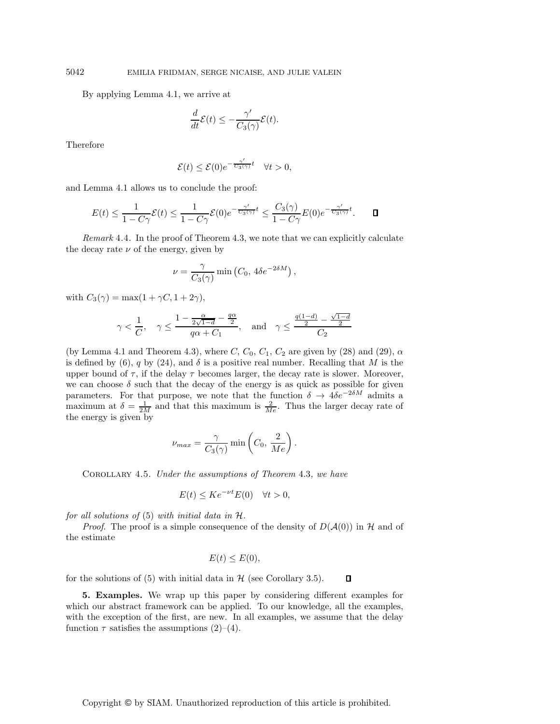By applying Lemma 4.1, we arrive at

$$
\frac{d}{dt}\mathcal{E}(t) \le -\frac{\gamma'}{C_3(\gamma)}\mathcal{E}(t).
$$

Therefore

$$
\mathcal{E}(t) \le \mathcal{E}(0)e^{-\frac{\gamma'}{C_3(\gamma)}t} \quad \forall t > 0,
$$

and Lemma 4.1 allows us to conclude the proof:

$$
E(t) \leq \frac{1}{1 - C\gamma} \mathcal{E}(t) \leq \frac{1}{1 - C\gamma} \mathcal{E}(0) e^{-\frac{\gamma'}{C_3(\gamma)}t} \leq \frac{C_3(\gamma)}{1 - C\gamma} E(0) e^{-\frac{\gamma'}{C_3(\gamma)}t}.
$$

*Remark* 4.4. In the proof of Theorem 4.3, we note that we can explicitly calculate the decay rate  $\nu$  of the energy, given by

$$
\nu = \frac{\gamma}{C_3(\gamma)} \min (C_0, 4\delta e^{-2\delta M}),
$$

with  $C_3(\gamma) = \max(1 + \gamma C, 1 + 2\gamma),$ 

$$
\gamma < \frac{1}{C}, \quad \gamma \leq \frac{1 - \frac{\alpha}{2\sqrt{1-d}} - \frac{q\alpha}{2}}{q\alpha + C_1}, \quad \text{and} \quad \gamma \leq \frac{\frac{q(1-d)}{2} - \frac{\sqrt{1-d}}{2}}{C_2}
$$

(by Lemma 4.1 and Theorem 4.3), where  $C, C_0, C_1, C_2$  are given by (28) and (29),  $\alpha$ is defined by (6), q by (24), and  $\delta$  is a positive real number. Recalling that M is the upper bound of  $\tau$ , if the delay  $\tau$  becomes larger, the decay rate is slower. Moreover, we can choose  $\delta$  such that the decay of the energy is as quick as possible for given parameters. For that purpose, we note that the function  $\delta \to 4\delta e^{-2\delta M}$  admits a maximum at  $\delta = \frac{1}{2M}$  and that this maximum is  $\frac{2}{Me}$ . Thus the larger decay rate of the energy is given by

$$
\nu_{max} = \frac{\gamma}{C_3(\gamma)} \min\left(C_0, \frac{2}{Me}\right).
$$

Corollary 4.5. *Under the assumptions of Theorem* 4.3*, we have*

$$
E(t) \leq Ke^{-\nu t} E(0) \quad \forall t > 0,
$$

*for all solutions of* (5) *with initial data in* H*.*

*Proof.* The proof is a simple consequence of the density of  $D(A(0))$  in H and of the estimate

$$
E(t) \le E(0),
$$

for the solutions of  $(5)$  with initial data in  $H$  (see Corollary 3.5).  $\Box$ 

**5. Examples.** We wrap up this paper by considering different examples for which our abstract framework can be applied. To our knowledge, all the examples, with the exception of the first, are new. In all examples, we assume that the delay function  $\tau$  satisfies the assumptions (2)–(4).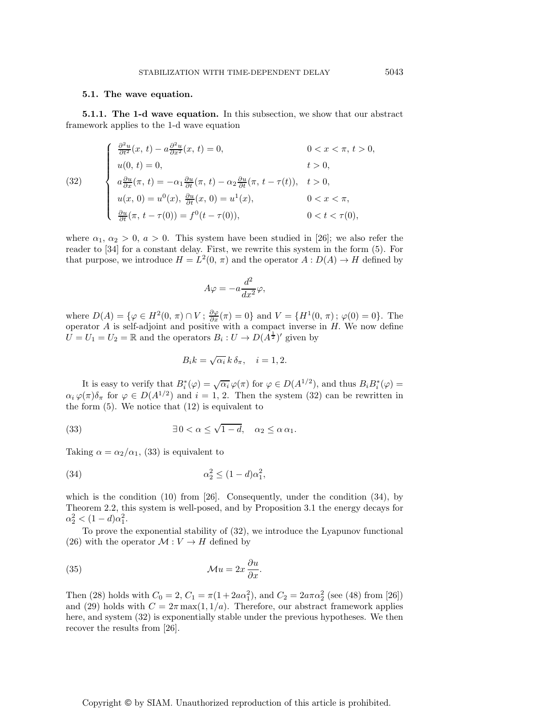### **5.1. The wave equation.**

**5.1.1. The 1-d wave equation.** In this subsection, we show that our abstract framework applies to the 1-d wave equation

(32) 
$$
\begin{cases} \frac{\partial^2 u}{\partial t^2}(x, t) - a \frac{\partial^2 u}{\partial x^2}(x, t) = 0, & 0 < x < \pi, t > 0, \\ u(0, t) = 0, & t > 0, \\ a \frac{\partial u}{\partial x}(\pi, t) = -\alpha_1 \frac{\partial u}{\partial t}(\pi, t) - \alpha_2 \frac{\partial u}{\partial t}(\pi, t - \tau(t)), & t > 0, \\ u(x, 0) = u^0(x), \frac{\partial u}{\partial t}(x, 0) = u^1(x), & 0 < x < \pi, \\ \frac{\partial u}{\partial t}(\pi, t - \tau(0)) = f^0(t - \tau(0)), & 0 < t < \tau(0), \end{cases}
$$

where  $\alpha_1, \alpha_2 > 0$ ,  $a > 0$ . This system have been studied in [26]; we also refer the reader to [34] for a constant delay. First, we rewrite this system in the form (5). For that purpose, we introduce  $H = L^2(0, \pi)$  and the operator  $A: D(A) \to H$  defined by

$$
A\varphi = -a\frac{d^2}{dx^2}\varphi,
$$

where  $D(A) = \{ \varphi \in H^2(0, \pi) \cap V \, ; \, \frac{\partial \varphi}{\partial x}(\pi) = 0 \}$  and  $V = \{ H^1(0, \pi) \, ; \, \varphi(0) = 0 \}.$  The operator  $A$  is self-adjoint and positive with a compact inverse in  $H$ . We now define  $U = U_1 = U_2 = \mathbb{R}$  and the operators  $B_i : U \to D(\overline{A^{\frac{1}{2}}})'$  given by

$$
B_i k = \sqrt{\alpha_i} k \, \delta_{\pi}, \quad i = 1, 2.
$$

It is easy to verify that  $B_i^*(\varphi) = \sqrt{\alpha_i} \varphi(\pi)$  for  $\varphi \in D(A^{1/2})$ , and thus  $B_i B_i^*(\varphi) =$  $\alpha_i \varphi(\pi) \delta_\pi$  for  $\varphi \in D(A^{1/2})$  and  $i = 1, 2$ . Then the system (32) can be rewritten in the form  $(5)$ . We notice that  $(12)$  is equivalent to

(33) 
$$
\exists 0 < \alpha \leq \sqrt{1-d}, \quad \alpha_2 \leq \alpha \alpha_1.
$$

Taking  $\alpha = \alpha_2/\alpha_1$ , (33) is equivalent to

$$
\alpha_2^2 \le (1 - d)\alpha_1^2,
$$

which is the condition (10) from [26]. Consequently, under the condition (34), by Theorem 2.2, this system is well-posed, and by Proposition 3.1 the energy decays for  $\alpha_2^2 < (1-d)\alpha_1^2$ .

To prove the exponential stability of (32), we introduce the Lyapunov functional (26) with the operator  $\mathcal{M}: V \to H$  defined by

(35) 
$$
\mathcal{M}u = 2x \frac{\partial u}{\partial x}.
$$

Then (28) holds with  $C_0 = 2$ ,  $C_1 = \pi(1 + 2a\alpha_1^2)$ , and  $C_2 = 2a\pi\alpha_2^2$  (see (48) from [26]) and (29) holds with  $C = 2\pi \max(1, 1/a)$ . Therefore, our abstract framework applies here, and system (32) is exponentially stable under the previous hypotheses. We then recover the results from [26].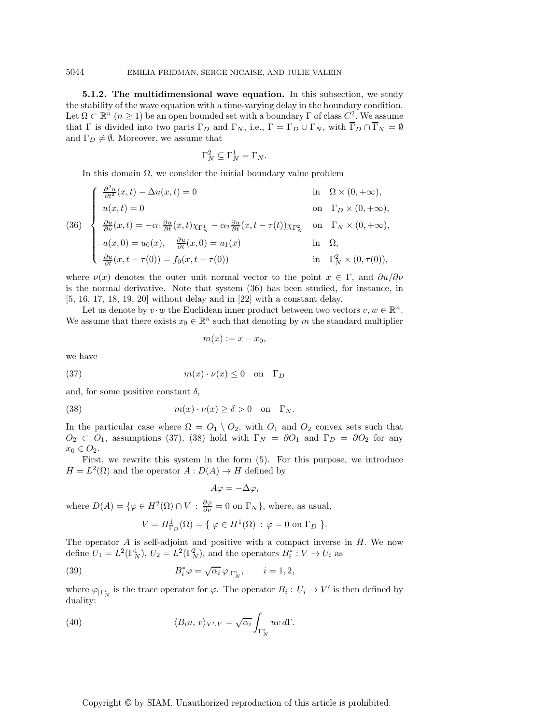**5.1.2. The multidimensional wave equation.** In this subsection, we study the stability of the wave equation with a time-varying delay in the boundary condition. Let  $\Omega \subset \mathbb{R}^n$   $(n \geq 1)$  be an open bounded set with a boundary  $\Gamma$  of class  $C^2$ . We assume that  $\Gamma$  is divided into two parts  $\Gamma_D$  and  $\Gamma_N$ , i.e.,  $\Gamma = \Gamma_D \cup \Gamma_N$ , with  $\overline{\Gamma}_D \cap \overline{\Gamma}_N = \emptyset$ and  $\Gamma_D \neq \emptyset$ . Moreover, we assume that

$$
\Gamma_N^2 \subseteq \Gamma_N^1 = \Gamma_N.
$$

In this domain  $\Omega$ , we consider the initial boundary value problem

(36)  
\n
$$
\begin{cases}\n\frac{\partial^2 u}{\partial t^2}(x,t) - \Delta u(x,t) = 0 & \text{in } \Omega \times (0, +\infty), \\
u(x,t) = 0 & \text{on } \Gamma_D \times (0, +\infty), \\
\frac{\partial u}{\partial \nu}(x,t) = -\alpha_1 \frac{\partial u}{\partial t}(x,t) \chi_{\Gamma_N^1} - \alpha_2 \frac{\partial u}{\partial t}(x,t - \tau(t)) \chi_{\Gamma_N^2} & \text{on } \Gamma_N \times (0, +\infty), \\
u(x,0) = u_0(x), \quad \frac{\partial u}{\partial t}(x,0) = u_1(x) & \text{in } \Omega, \\
\frac{\partial u}{\partial t}(x,t - \tau(0)) = f_0(x,t - \tau(0)) & \text{in } \Gamma_N^2 \times (0, \tau(0)),\n\end{cases}
$$

where  $\nu(x)$  denotes the outer unit normal vector to the point  $x \in \Gamma$ , and  $\partial u/\partial \nu$ is the normal derivative. Note that system (36) has been studied, for instance, in [5, 16, 17, 18, 19, 20] without delay and in [22] with a constant delay.

Let us denote by  $v \cdot w$  the Euclidean inner product between two vectors  $v, w \in \mathbb{R}^n$ . We assume that there exists  $x_0 \in \mathbb{R}^n$  such that denoting by m the standard multiplier

$$
m(x) := x - x_0,
$$

we have

(37) 
$$
m(x) \cdot \nu(x) \le 0 \quad \text{on} \quad \Gamma_D
$$

and, for some positive constant  $\delta$ ,

(38) 
$$
m(x) \cdot \nu(x) \ge \delta > 0 \quad \text{on} \quad \Gamma_N.
$$

In the particular case where  $\Omega = O_1 \setminus O_2$ , with  $O_1$  and  $O_2$  convex sets such that  $O_2 \text{ }\subset O_1$ , assumptions (37), (38) hold with  $\Gamma_N = \partial O_1$  and  $\Gamma_D = \partial O_2$  for any  $x_0 \in O_2$ .

First, we rewrite this system in the form (5). For this purpose, we introduce  $H = L<sup>2</sup>(\Omega)$  and the operator  $A: D(A) \to H$  defined by

$$
A\varphi = -\Delta \varphi,
$$

where  $D(A) = \{ \varphi \in H^2(\Omega) \cap V : \frac{\partial \varphi}{\partial \nu} = 0 \text{ on } \Gamma_N \}, \text{ where, as usual,}$ 

$$
V=H^1_{\Gamma_D}(\Omega)=\{\ \varphi\in H^1(\Omega)\,:\,\varphi=0\ \text{on}\ \Gamma_D\ \}.
$$

The operator  $A$  is self-adjoint and positive with a compact inverse in  $H$ . We now define  $U_1 = L^2(\Gamma_N^1)$ ,  $U_2 = L^2(\Gamma_N^2)$ , and the operators  $B_i^*: V \to U_i$  as

(39) 
$$
B_i^* \varphi = \sqrt{\alpha_i} \, \varphi_{|\Gamma_N^i}, \qquad i = 1, 2,
$$

where  $\varphi_{|\Gamma_N^i}$  is the trace operator for  $\varphi$ . The operator  $B_i: U_i \to V'$  is then defined by duality:

(40) 
$$
\langle B_i u, v \rangle_{V',V} = \sqrt{\alpha_i} \int_{\Gamma_N^i} uv \, d\Gamma.
$$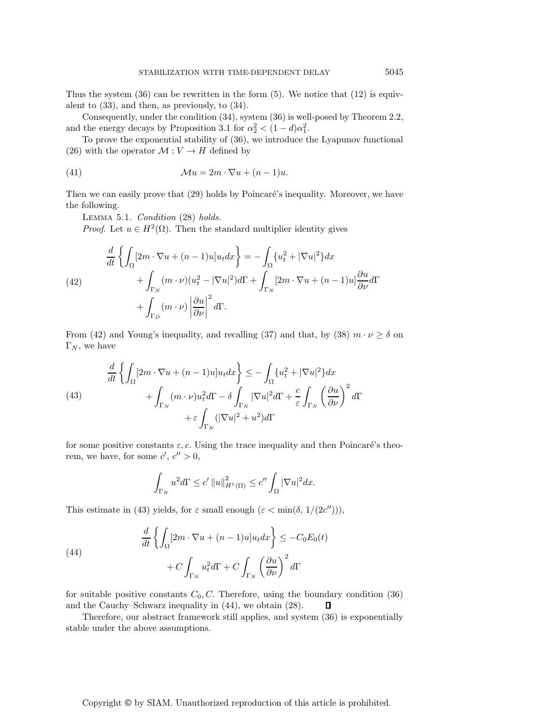Thus the system  $(36)$  can be rewritten in the form  $(5)$ . We notice that  $(12)$  is equivalent to (33), and then, as previously, to (34).

Consequently, under the condition (34), system (36) is well-posed by Theorem 2.2, and the energy decays by Proposition 3.1 for  $\alpha_2^2 < (1 - d)\alpha_1^2$ .

To prove the exponential stability of (36), we introduce the Lyapunov functional (26) with the operator  $\mathcal{M}: V \to H$  defined by

(41) 
$$
\mathcal{M}u = 2m \cdot \nabla u + (n-1)u.
$$

Then we can easily prove that  $(29)$  holds by Poincaré's inequality. Moreover, we have the following.

Lemma 5.1. *Condition* (28) *holds.*

*Proof.* Let  $u \in H^2(\Omega)$ . Then the standard multiplier identity gives

(42)  
\n
$$
\frac{d}{dt} \left\{ \int_{\Omega} [2m \cdot \nabla u + (n-1)u] u_t dx \right\} = -\int_{\Omega} \{u_t^2 + |\nabla u|^2\} dx
$$
\n
$$
+ \int_{\Gamma_N} (m \cdot \nu) (u_t^2 - |\nabla u|^2) d\Gamma + \int_{\Gamma_N} [2m \cdot \nabla u + (n-1)u] \frac{\partial u}{\partial \nu} d\Gamma
$$
\n
$$
+ \int_{\Gamma_D} (m \cdot \nu) \left| \frac{\partial u}{\partial \nu} \right|^2 d\Gamma.
$$

From (42) and Young's inequality, and recalling (37) and that, by (38)  $m \cdot \nu \ge \delta$  on  $\Gamma_N$ , we have

(43)  

$$
\frac{d}{dt} \left\{ \int_{\Omega} [2m \cdot \nabla u + (n-1)u] u_t dx \right\} \leq -\int_{\Omega} \{u_t^2 + |\nabla u|^2\} dx
$$

$$
+ \int_{\Gamma_N} (m \cdot \nu) u_t^2 d\Gamma - \delta \int_{\Gamma_N} |\nabla u|^2 d\Gamma + \frac{c}{\varepsilon} \int_{\Gamma_N} \left( \frac{\partial u}{\partial \nu} \right)^2 d\Gamma
$$

$$
+ \varepsilon \int_{\Gamma_N} (|\nabla u|^2 + u^2) d\Gamma
$$

for some positive constants  $\varepsilon$ , c. Using the trace inequality and then Poincaré's theorem, we have, for some  $c', c'' > 0$ ,

$$
\int_{\Gamma_N} u^2 d\Gamma \le c' ||u||_{H^1(\Omega)}^2 \le c'' \int_{\Omega} |\nabla u|^2 dx.
$$

This estimate in (43) yields, for  $\varepsilon$  small enough  $(\varepsilon < \min(\delta, 1/(2c'')))$ ,

(44)  
\n
$$
\frac{d}{dt} \left\{ \int_{\Omega} [2m \cdot \nabla u + (n-1)u] u_t dx \right\} \leq -C_0 E_0(t)
$$
\n
$$
+ C \int_{\Gamma_N} u_t^2 d\Gamma + C \int_{\Gamma_N} \left( \frac{\partial u}{\partial \nu} \right)^2 d\Gamma
$$

for suitable positive constants  $C_0, C$ . Therefore, using the boundary condition (36) and the Cauchy–Schwarz inequality in (44), we obtain (28).  $\Box$ 

Therefore, our abstract framework still applies, and system (36) is exponentially stable under the above assumptions.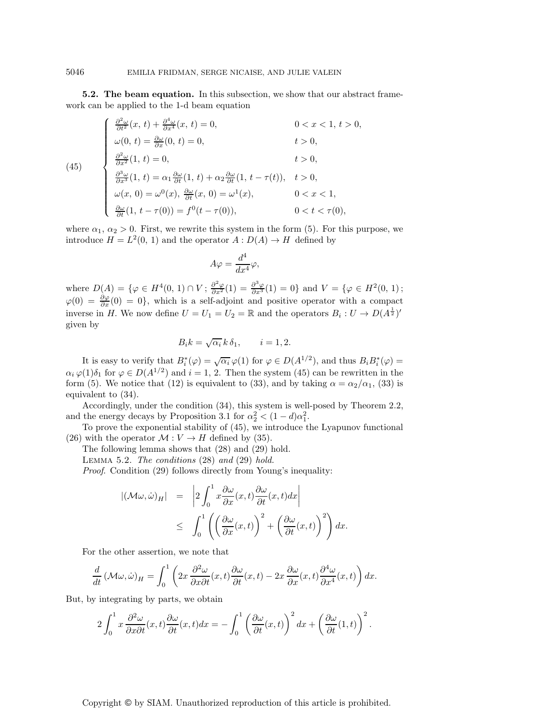**5.2. The beam equation.** In this subsection, we show that our abstract framework can be applied to the 1-d beam equation

(45)  
\n
$$
\begin{cases}\n\frac{\partial^2 \omega}{\partial t^2}(x, t) + \frac{\partial^4 \omega}{\partial x^4}(x, t) = 0, & 0 < x < 1, t > 0, \\
\omega(0, t) = \frac{\partial \omega}{\partial x}(0, t) = 0, & t > 0, \\
\frac{\partial^2 \omega}{\partial x^2}(1, t) = 0, & t > 0, \\
\frac{\partial^3 \omega}{\partial x^3}(1, t) = \alpha_1 \frac{\partial \omega}{\partial t}(1, t) + \alpha_2 \frac{\partial \omega}{\partial t}(1, t - \tau(t)), & t > 0, \\
\omega(x, 0) = \omega^0(x), \frac{\partial \omega}{\partial t}(x, 0) = \omega^1(x), & 0 < x < 1, \\
\frac{\partial \omega}{\partial t}(1, t - \tau(0)) = f^0(t - \tau(0)), & 0 < t < \tau(0),\n\end{cases}
$$

where  $\alpha_1, \alpha_2 > 0$ . First, we rewrite this system in the form (5). For this purpose, we introduce  $H = L^2(0, 1)$  and the operator  $A: D(A) \to H$  defined by

$$
A\varphi = \frac{d^4}{dx^4}\varphi,
$$

where  $D(A) = \{ \varphi \in H^4(0, 1) \cap V \, ; \, \frac{\partial^2 \varphi}{\partial x^2}(1) = \frac{\partial^3 \varphi}{\partial x^3}(1) = 0 \}$  and  $V = \{ \varphi \in H^2(0, 1) \, ; \, \varphi \in H^4(0, 1) \}$  $\varphi(0) = \frac{\partial \varphi}{\partial x}(0) = 0$ , which is a self-adjoint and positive operator with a compact inverse in H. We now define  $U = U_1 = U_2 = \mathbb{R}$  and the operators  $B_i : U \to D(A^{\frac{1}{2}})'$ given by

$$
B_i k = \sqrt{\alpha_i} k \, \delta_1, \qquad i = 1, 2.
$$

It is easy to verify that  $B_i^*(\varphi) = \sqrt{\alpha_i} \varphi(1)$  for  $\varphi \in D(A^{1/2})$ , and thus  $B_i B_i^*(\varphi) =$  $\alpha_i \varphi(1)\delta_1$  for  $\varphi \in D(A^{1/2})$  and  $i = 1, 2$ . Then the system (45) can be rewritten in the form (5). We notice that (12) is equivalent to (33), and by taking  $\alpha = \alpha_2/\alpha_1$ , (33) is equivalent to (34).

Accordingly, under the condition (34), this system is well-posed by Theorem 2.2, and the energy decays by Proposition 3.1 for  $\alpha_2^2 < (1 - d)\alpha_1^2$ .

To prove the exponential stability of (45), we introduce the Lyapunov functional (26) with the operator  $\mathcal{M}: V \to H$  defined by (35).

The following lemma shows that (28) and (29) hold.

Lemma 5.2. *The conditions* (28) *and* (29) *hold.*

*Proof*. Condition (29) follows directly from Young's inequality:

$$
\begin{array}{rcl} |(\mathcal{M}\omega,\dot{\omega})_H| &=& \left|2\int_0^1 x \frac{\partial \omega}{\partial x}(x,t)\frac{\partial \omega}{\partial t}(x,t)dx\right| \\ & \leq & \displaystyle\int_0^1 \left(\left(\frac{\partial \omega}{\partial x}(x,t)\right)^2+\left(\frac{\partial \omega}{\partial t}(x,t)\right)^2\right)dx.\end{array}
$$

For the other assertion, we note that

$$
\frac{d}{dt} \left(\mathcal{M}\omega,\dot{\omega}\right)_H = \int_0^1 \left(2x \frac{\partial^2 \omega}{\partial x \partial t}(x,t) \frac{\partial \omega}{\partial t}(x,t) - 2x \frac{\partial \omega}{\partial x}(x,t) \frac{\partial^4 \omega}{\partial x^4}(x,t)\right) dx.
$$

But, by integrating by parts, we obtain

$$
2\int_0^1 x \frac{\partial^2 \omega}{\partial x \partial t}(x,t) \frac{\partial \omega}{\partial t}(x,t) dx = -\int_0^1 \left(\frac{\partial \omega}{\partial t}(x,t)\right)^2 dx + \left(\frac{\partial \omega}{\partial t}(1,t)\right)^2.
$$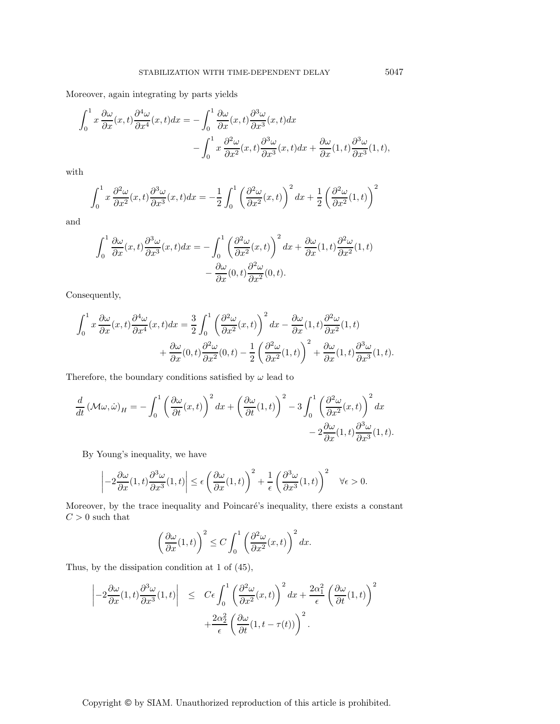Moreover, again integrating by parts yields

$$
\int_0^1 x \frac{\partial \omega}{\partial x}(x, t) \frac{\partial^4 \omega}{\partial x^4}(x, t) dx = -\int_0^1 \frac{\partial \omega}{\partial x}(x, t) \frac{\partial^3 \omega}{\partial x^3}(x, t) dx \n- \int_0^1 x \frac{\partial^2 \omega}{\partial x^2}(x, t) \frac{\partial^3 \omega}{\partial x^3}(x, t) dx + \frac{\partial \omega}{\partial x}(1, t) \frac{\partial^3 \omega}{\partial x^3}(1, t),
$$

with

$$
\int_0^1 x \frac{\partial^2 \omega}{\partial x^2}(x,t) \frac{\partial^3 \omega}{\partial x^3}(x,t) dx = -\frac{1}{2} \int_0^1 \left(\frac{\partial^2 \omega}{\partial x^2}(x,t)\right)^2 dx + \frac{1}{2} \left(\frac{\partial^2 \omega}{\partial x^2}(1,t)\right)^2
$$

and

$$
\int_0^1 \frac{\partial \omega}{\partial x}(x,t) \frac{\partial^3 \omega}{\partial x^3}(x,t) dx = -\int_0^1 \left(\frac{\partial^2 \omega}{\partial x^2}(x,t)\right)^2 dx + \frac{\partial \omega}{\partial x}(1,t) \frac{\partial^2 \omega}{\partial x^2}(1,t) -\frac{\partial \omega}{\partial x}(0,t) \frac{\partial^2 \omega}{\partial x^2}(0,t).
$$

Consequently,

$$
\int_0^1 x \frac{\partial \omega}{\partial x}(x,t) \frac{\partial^4 \omega}{\partial x^4}(x,t) dx = \frac{3}{2} \int_0^1 \left(\frac{\partial^2 \omega}{\partial x^2}(x,t)\right)^2 dx - \frac{\partial \omega}{\partial x}(1,t) \frac{\partial^2 \omega}{\partial x^2}(1,t) + \frac{\partial \omega}{\partial x}(0,t) \frac{\partial^2 \omega}{\partial x^2}(0,t) - \frac{1}{2} \left(\frac{\partial^2 \omega}{\partial x^2}(1,t)\right)^2 + \frac{\partial \omega}{\partial x}(1,t) \frac{\partial^3 \omega}{\partial x^3}(1,t).
$$

Therefore, the boundary conditions satisfied by  $\omega$  lead to

$$
\frac{d}{dt} \left( \mathcal{M}\omega, \dot{\omega} \right)_H = -\int_0^1 \left( \frac{\partial \omega}{\partial t}(x, t) \right)^2 dx + \left( \frac{\partial \omega}{\partial t}(1, t) \right)^2 - 3 \int_0^1 \left( \frac{\partial^2 \omega}{\partial x^2}(x, t) \right)^2 dx - 2 \frac{\partial \omega}{\partial x}(1, t) \frac{\partial^3 \omega}{\partial x^3}(1, t).
$$

By Young's inequality, we have

$$
\left| -2\frac{\partial \omega}{\partial x}(1,t) \frac{\partial^3 \omega}{\partial x^3}(1,t) \right| \le \epsilon \left( \frac{\partial \omega}{\partial x}(1,t) \right)^2 + \frac{1}{\epsilon} \left( \frac{\partial^3 \omega}{\partial x^3}(1,t) \right)^2 \quad \forall \epsilon > 0.
$$

Moreover, by the trace inequality and Poincaré's inequality, there exists a constant  ${\cal C}>0$  such that

$$
\left(\frac{\partial \omega}{\partial x}(1,t)\right)^2 \le C \int_0^1 \left(\frac{\partial^2 \omega}{\partial x^2}(x,t)\right)^2 dx.
$$

Thus, by the dissipation condition at 1 of (45),

$$
\left| -2 \frac{\partial \omega}{\partial x}(1,t) \frac{\partial^3 \omega}{\partial x^3}(1,t) \right| \leq C\epsilon \int_0^1 \left( \frac{\partial^2 \omega}{\partial x^2}(x,t) \right)^2 dx + \frac{2\alpha_1^2}{\epsilon} \left( \frac{\partial \omega}{\partial t}(1,t) \right)^2 + \frac{2\alpha_2^2}{\epsilon} \left( \frac{\partial \omega}{\partial t}(1,t-\tau(t)) \right)^2.
$$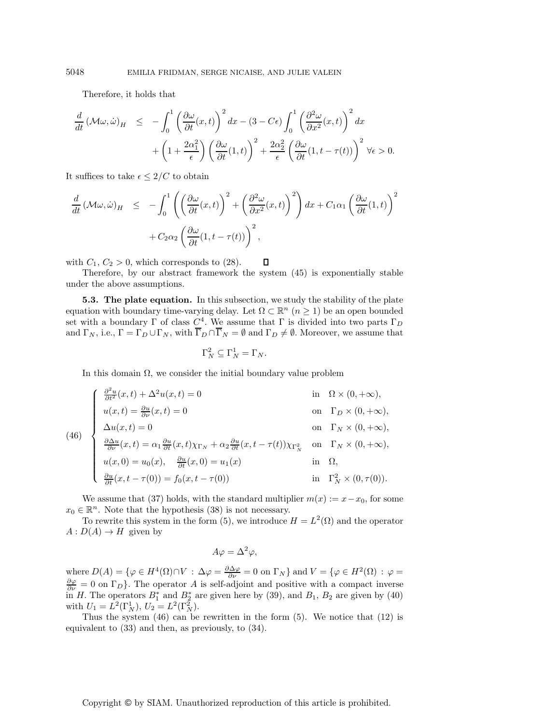Therefore, it holds that

$$
\frac{d}{dt} (\mathcal{M}\omega, \dot{\omega})_H \leq -\int_0^1 \left(\frac{\partial \omega}{\partial t}(x, t)\right)^2 dx - (3 - C\epsilon) \int_0^1 \left(\frac{\partial^2 \omega}{\partial x^2}(x, t)\right)^2 dx \n+ \left(1 + \frac{2\alpha_1^2}{\epsilon}\right) \left(\frac{\partial \omega}{\partial t}(1, t)\right)^2 + \frac{2\alpha_2^2}{\epsilon} \left(\frac{\partial \omega}{\partial t}(1, t - \tau(t))\right)^2 \forall \epsilon > 0.
$$

It suffices to take  $\epsilon \leq 2/C$  to obtain

$$
\frac{d}{dt} (\mathcal{M}\omega, \dot{\omega})_H \le -\int_0^1 \left( \left( \frac{\partial \omega}{\partial t}(x, t) \right)^2 + \left( \frac{\partial^2 \omega}{\partial x^2}(x, t) \right)^2 \right) dx + C_1 \alpha_1 \left( \frac{\partial \omega}{\partial t}(1, t) \right)^2
$$

$$
+ C_2 \alpha_2 \left( \frac{\partial \omega}{\partial t}(1, t - \tau(t)) \right)^2,
$$

 $\Box$ with  $C_1, C_2 > 0$ , which corresponds to (28).

Therefore, by our abstract framework the system (45) is exponentially stable under the above assumptions.

**5.3. The plate equation.** In this subsection, we study the stability of the plate equation with boundary time-varying delay. Let  $\Omega \subset \mathbb{R}^n$   $(n \geq 1)$  be an open bounded set with a boundary  $\Gamma$  of class  $C^4$ . We assume that  $\Gamma$  is divided into two parts  $\Gamma_D$ and  $\Gamma_N$ , i.e.,  $\Gamma = \Gamma_D \cup \Gamma_N$ , with  $\overline{\Gamma}_D \cap \overline{\Gamma}_N = \emptyset$  and  $\Gamma_D \neq \emptyset$ . Moreover, we assume that

$$
\Gamma_N^2 \subseteq \Gamma_N^1 = \Gamma_N.
$$

In this domain  $\Omega$ , we consider the initial boundary value problem

(46)  
\n
$$
\begin{cases}\n\frac{\partial^2 u}{\partial t^2}(x,t) + \Delta^2 u(x,t) = 0 & \text{in } \Omega \times (0, +\infty), \\
u(x,t) = \frac{\partial u}{\partial \nu}(x,t) = 0 & \text{on } \Gamma_D \times (0, +\infty), \\
\Delta u(x,t) = 0 & \text{on } \Gamma_N \times (0, +\infty), \\
\frac{\partial \Delta u}{\partial \nu}(x,t) = \alpha_1 \frac{\partial u}{\partial t}(x,t) \chi_{\Gamma_N} + \alpha_2 \frac{\partial u}{\partial t}(x,t - \tau(t)) \chi_{\Gamma_N^2} & \text{on } \Gamma_N \times (0, +\infty), \\
u(x,0) = u_0(x), \quad \frac{\partial u}{\partial t}(x,0) = u_1(x) & \text{in } \Omega, \\
\frac{\partial u}{\partial t}(x,t - \tau(0)) = f_0(x,t - \tau(0)) & \text{in } \Gamma_N^2 \times (0, \tau(0)).\n\end{cases}
$$

We assume that (37) holds, with the standard multiplier  $m(x) := x - x_0$ , for some  $x_0 \in \mathbb{R}^n$ . Note that the hypothesis (38) is not necessary.

To rewrite this system in the form (5), we introduce  $H = L^2(\Omega)$  and the operator  $A: D(A) \to H$  given by

$$
A\varphi = \Delta^2 \varphi,
$$

where  $D(A) = \{ \varphi \in H^4(\Omega) \cap V : \Delta \varphi = \frac{\partial \Delta \varphi}{\partial \nu} = 0 \text{ on } \Gamma_N \}$  and  $V = \{ \varphi \in H^2(\Omega) : \varphi = \frac{\partial \varphi}{\partial \nu} = 0 \text{ on } \Gamma_N \}$  $\frac{\partial \varphi}{\partial \nu} = 0$  on  $\Gamma_D$ . The operator A is self-adjoint and positive with a compact inverse in H. The operators  $B_1^*$  and  $B_2^*$  are given here by (39), and  $B_1$ ,  $B_2$  are given by (40) with  $U_1 = L^2(\Gamma_N^1), U_2 = L^2(\Gamma_N^2).$ 

Thus the system  $(46)$  can be rewritten in the form  $(5)$ . We notice that  $(12)$  is equivalent to (33) and then, as previously, to (34).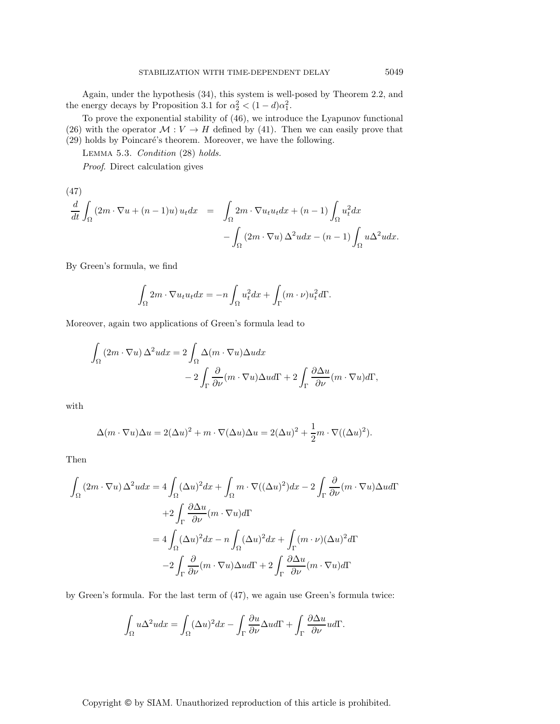Again, under the hypothesis (34), this system is well-posed by Theorem 2.2, and the energy decays by Proposition 3.1 for  $\alpha_2^2 < (1 - d)\alpha_1^2$ .

To prove the exponential stability of (46), we introduce the Lyapunov functional (26) with the operator  $M: V \to H$  defined by (41). Then we can easily prove that

 $(29)$  holds by Poincaré's theorem. Moreover, we have the following.

Lemma 5.3. *Condition* (28) *holds. Proof*. Direct calculation gives

(47)  
\n
$$
\frac{d}{dt} \int_{\Omega} (2m \cdot \nabla u + (n-1)u) u_t dx = \int_{\Omega} 2m \cdot \nabla u_t u_t dx + (n-1) \int_{\Omega} u_t^2 dx - \int_{\Omega} (2m \cdot \nabla u) \Delta^2 u dx - (n-1) \int_{\Omega} u \Delta^2 u dx.
$$

By Green's formula, we find

$$
\int_{\Omega} 2m \cdot \nabla u_t u_t dx = -n \int_{\Omega} u_t^2 dx + \int_{\Gamma} (m \cdot \nu) u_t^2 d\Gamma.
$$

Moreover, again two applications of Green's formula lead to

$$
\int_{\Omega} (2m \cdot \nabla u) \Delta^2 u dx = 2 \int_{\Omega} \Delta (m \cdot \nabla u) \Delta u dx \n- 2 \int_{\Gamma} \frac{\partial}{\partial \nu} (m \cdot \nabla u) \Delta u d\Gamma + 2 \int_{\Gamma} \frac{\partial \Delta u}{\partial \nu} (m \cdot \nabla u) d\Gamma,
$$

with

$$
\Delta(m \cdot \nabla u)\Delta u = 2(\Delta u)^2 + m \cdot \nabla(\Delta u)\Delta u = 2(\Delta u)^2 + \frac{1}{2}m \cdot \nabla((\Delta u)^2).
$$

Then

$$
\int_{\Omega} (2m \cdot \nabla u) \Delta^2 u dx = 4 \int_{\Omega} (\Delta u)^2 dx + \int_{\Omega} m \cdot \nabla ((\Delta u)^2) dx - 2 \int_{\Gamma} \frac{\partial}{\partial \nu} (m \cdot \nabla u) \Delta u d\Gamma
$$

$$
+ 2 \int_{\Gamma} \frac{\partial \Delta u}{\partial \nu} (m \cdot \nabla u) d\Gamma
$$

$$
= 4 \int_{\Omega} (\Delta u)^2 dx - n \int_{\Omega} (\Delta u)^2 dx + \int_{\Gamma} (m \cdot \nu) (\Delta u)^2 d\Gamma
$$

$$
- 2 \int_{\Gamma} \frac{\partial}{\partial \nu} (m \cdot \nabla u) \Delta u d\Gamma + 2 \int_{\Gamma} \frac{\partial \Delta u}{\partial \nu} (m \cdot \nabla u) d\Gamma
$$

by Green's formula. For the last term of (47), we again use Green's formula twice:

$$
\int_{\Omega} u \Delta^2 u dx = \int_{\Omega} (\Delta u)^2 dx - \int_{\Gamma} \frac{\partial u}{\partial \nu} \Delta u d\Gamma + \int_{\Gamma} \frac{\partial \Delta u}{\partial \nu} u d\Gamma.
$$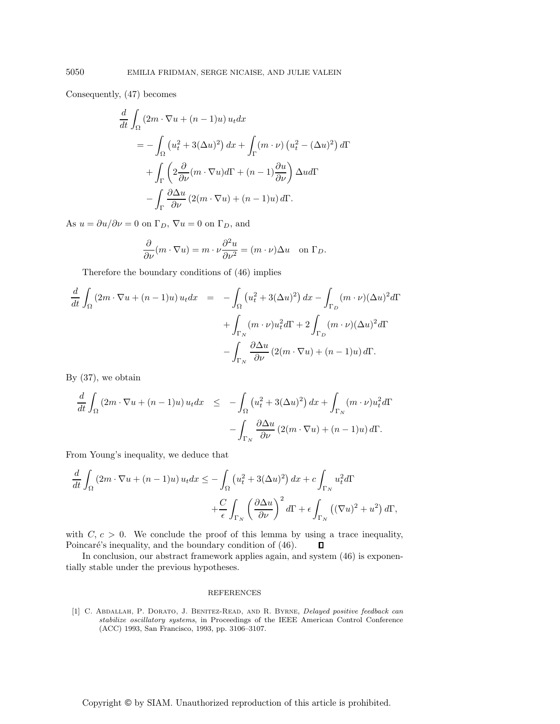Consequently, (47) becomes

$$
\frac{d}{dt} \int_{\Omega} (2m \cdot \nabla u + (n-1)u) u_t dx
$$
\n
$$
= -\int_{\Omega} (u_t^2 + 3(\Delta u)^2) dx + \int_{\Gamma} (m \cdot \nu) (u_t^2 - (\Delta u)^2) d\Gamma
$$
\n
$$
+ \int_{\Gamma} \left( 2 \frac{\partial}{\partial \nu} (m \cdot \nabla u) d\Gamma + (n-1) \frac{\partial u}{\partial \nu} \right) \Delta u d\Gamma
$$
\n
$$
- \int_{\Gamma} \frac{\partial \Delta u}{\partial \nu} (2(m \cdot \nabla u) + (n-1)u) d\Gamma.
$$

As  $u = \partial u / \partial \nu = 0$  on  $\Gamma_D$ ,  $\nabla u = 0$  on  $\Gamma_D$ , and

$$
\frac{\partial}{\partial \nu}(m \cdot \nabla u) = m \cdot \nu \frac{\partial^2 u}{\partial \nu^2} = (m \cdot \nu) \Delta u \quad \text{on } \Gamma_D.
$$

Therefore the boundary conditions of (46) implies

$$
\frac{d}{dt} \int_{\Omega} (2m \cdot \nabla u + (n-1)u) u_t dx = - \int_{\Omega} (u_t^2 + 3(\Delta u)^2) dx - \int_{\Gamma_D} (m \cdot \nu)(\Delta u)^2 d\Gamma
$$

$$
+ \int_{\Gamma_N} (m \cdot \nu) u_t^2 d\Gamma + 2 \int_{\Gamma_D} (m \cdot \nu)(\Delta u)^2 d\Gamma
$$

$$
- \int_{\Gamma_N} \frac{\partial \Delta u}{\partial \nu} (2(m \cdot \nabla u) + (n-1)u) d\Gamma.
$$

By (37), we obtain

$$
\frac{d}{dt} \int_{\Omega} (2m \cdot \nabla u + (n-1)u) u_t dx \le - \int_{\Omega} (u_t^2 + 3(\Delta u)^2) dx + \int_{\Gamma_N} (m \cdot \nu) u_t^2 d\Gamma
$$

$$
- \int_{\Gamma_N} \frac{\partial \Delta u}{\partial \nu} (2(m \cdot \nabla u) + (n-1)u) d\Gamma.
$$

From Young's inequality, we deduce that

$$
\frac{d}{dt} \int_{\Omega} (2m \cdot \nabla u + (n-1)u) u_t dx \le -\int_{\Omega} \left( u_t^2 + 3(\Delta u)^2 \right) dx + c \int_{\Gamma_N} u_t^2 d\Gamma \n+ \frac{C}{\epsilon} \int_{\Gamma_N} \left( \frac{\partial \Delta u}{\partial \nu} \right)^2 d\Gamma + \epsilon \int_{\Gamma_N} \left( (\nabla u)^2 + u^2 \right) d\Gamma,
$$

with  $C, c > 0$ . We conclude the proof of this lemma by using a trace inequality, Poincaré's inequality, and the boundary condition of (46).  $\Box$ 

In conclusion, our abstract framework applies again, and system (46) is exponentially stable under the previous hypotheses.

#### REFERENCES

[1] C. Abdallah, P. Dorato, J. Benitez-Read, and R. Byrne, Delayed positive feedback can stabilize oscillatory systems, in Proceedings of the IEEE American Control Conference (ACC) 1993, San Francisco, 1993, pp. 3106–3107.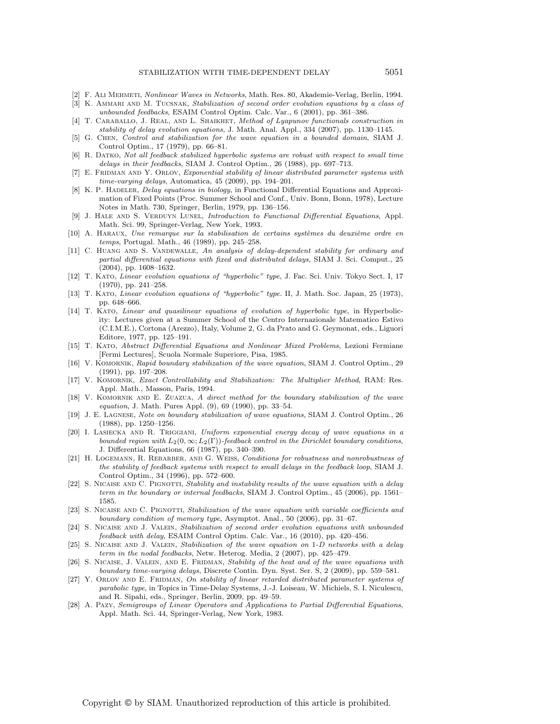- [2] F. Ali Mehmeti, Nonlinear Waves in Networks, Math. Res. 80, Akademie-Verlag, Berlin, 1994.
- [3] K. AMMARI AND M. TUCSNAK, Stabilization of second order evolution equations by a class of unbounded feedbacks, ESAIM Control Optim. Calc. Var., 6 (2001), pp. 361–386.
- [4] T. Caraballo, J. Real, and L. Shaikhet, Method of Lyapunov functionals construction in stability of delay evolution equations, J. Math. Anal. Appl., 334 (2007), pp. 1130–1145.
- [5] G. Chen, Control and stabilization for the wave equation in a bounded domain, SIAM J. Control Optim., 17 (1979), pp. 66–81.
- [6] R. DATKO, Not all feedback stabilized hyperbolic systems are robust with respect to small time delays in their feedbacks, SIAM J. Control Optim., 26 (1988), pp. 697–713.
- [7] E. FRIDMAN AND Y. ORLOV, Exponential stability of linear distributed parameter systems with time-varying delays, Automatica, 45 (2009), pp. 194–201.
- [8] K. P. HADELER, Delay equations in biology, in Functional Differential Equations and Approximation of Fixed Points (Proc. Summer School and Conf., Univ. Bonn, Bonn, 1978), Lecture Notes in Math. 730, Springer, Berlin, 1979, pp. 136–156.
- [9] J. HALE AND S. VERDUYN LUNEL, Introduction to Functional Differential Equations, Appl. Math. Sci. 99, Springer-Verlag, New York, 1993.
- $[10]$  A. HARAUX, Une remarque sur la stabilisation de certains systèmes du deuxième ordre en temps, Portugal. Math., 46 (1989), pp. 245–258.
- [11] C. HUANG AND S. VANDEWALLE, An analysis of delay-dependent stability for ordinary and partial differential equations with fixed and distributed delays, SIAM J. Sci. Comput., 25 (2004), pp. 1608–1632.
- [12] T. Kato, Linear evolution equations of "hyperbolic" type, J. Fac. Sci. Univ. Tokyo Sect. I, 17 (1970), pp. 241–258.
- [13] T. Kato, Linear evolution equations of "hyperbolic" type. II, J. Math. Soc. Japan, 25 (1973), pp. 648–666.
- [14] T. Kato, Linear and quasilinear equations of evolution of hyperbolic type, in Hyperbolicity: Lectures given at a Summer School of the Centro Internazionale Matematico Estivo (C.I.M.E.), Cortona (Arezzo), Italy, Volume 2, G. da Prato and G. Geymonat, eds., Liguori Editore, 1977, pp. 125–191.
- [15] T. Kato, Abstract Differential Equations and Nonlinear Mixed Problems, Lezioni Fermiane [Fermi Lectures], Scuola Normale Superiore, Pisa, 1985.
- [16] V. KOMORNIK, Rapid boundary stabilization of the wave equation, SIAM J. Control Optim., 29 (1991), pp. 197–208.
- [17] V. KOMORNIK, Exact Controllability and Stabilization: The Multiplier Method, RAM: Res. Appl. Math., Masson, Paris, 1994.
- [18] V. KOMORNIK AND E. ZUAZUA, A direct method for the boundary stabilization of the wave equation, J. Math. Pures Appl. (9), 69 (1990), pp. 33–54.
- [19] J. E. Lagnese, Note on boundary stabilization of wave equations, SIAM J. Control Optim., 26 (1988), pp. 1250–1256.
- [20] I. Lasiecka and R. Triggiani, Uniform exponential energy decay of wave equations in a bounded region with  $L_2(0,\infty;L_2(\Gamma))$ -feedback control in the Dirichlet boundary conditions, J. Differential Equations, 66 (1987), pp. 340–390.
- [21] H. Logemann, R. Rebarber, and G. Weiss, Conditions for robustness and nonrobustness of the stability of feedback systems with respect to small delays in the feedback loop, SIAM J. Control Optim., 34 (1996), pp. 572–600.
- [22] S. NICAISE AND C. PIGNOTTI, Stability and instability results of the wave equation with a delay term in the boundary or internal feedbacks, SIAM J. Control Optim., 45 (2006), pp. 1561– 1585.
- [23] S. NICAISE AND C. PIGNOTTI, Stabilization of the wave equation with variable coefficients and boundary condition of memory type, Asymptot. Anal., 50 (2006), pp. 31–67.
- [24] S. Nicaise and J. Valein, Stabilization of second order evolution equations with unbounded feedback with delay, ESAIM Control Optim. Calc. Var., 16 (2010), pp. 420–456.
- [25] S. NICAISE AND J. VALEIN, Stabilization of the wave equation on 1-D networks with a delay term in the nodal feedbacks, Netw. Heterog. Media, 2 (2007), pp. 425–479.
- [26] S. NICAISE, J. VALEIN, AND E. FRIDMAN, Stability of the heat and of the wave equations with boundary time-varying delays, Discrete Contin. Dyn. Syst. Ser. S, 2 (2009), pp. 559–581.
- $[27]$  Y. ORLOV AND E. FRIDMAN, On stability of linear retarded distributed parameter systems of parabolic type, in Topics in Time-Delay Systems, J.-J. Loiseau, W. Michiels, S. I. Niculescu, and R. Sipahi, eds., Springer, Berlin, 2009, pp. 49–59.
- [28] A. Pazy, Semigroups of Linear Operators and Applications to Partial Differential Equations, Appl. Math. Sci. 44, Springer-Verlag, New York, 1983.